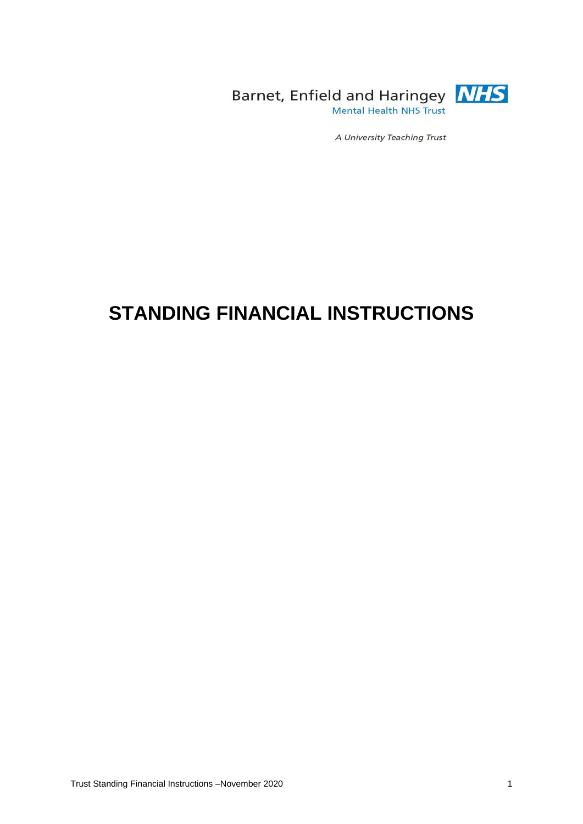

Barnet, Enfield and Haringey **NHS** Mental Health NHS Trust

A University Teaching Trust

# **STANDING FINANCIAL INSTRUCTIONS**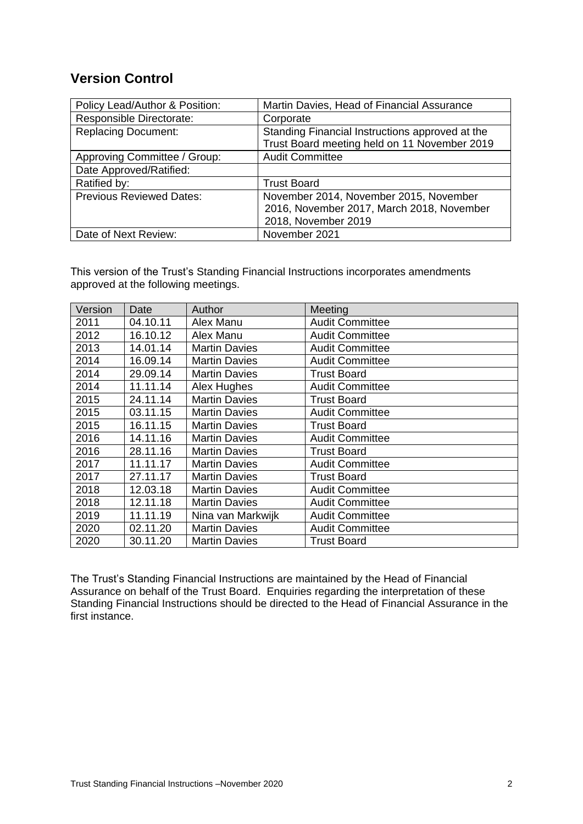# **Version Control**

| Policy Lead/Author & Position:  | Martin Davies, Head of Financial Assurance      |
|---------------------------------|-------------------------------------------------|
| Responsible Directorate:        | Corporate                                       |
| <b>Replacing Document:</b>      | Standing Financial Instructions approved at the |
|                                 | Trust Board meeting held on 11 November 2019    |
| Approving Committee / Group:    | <b>Audit Committee</b>                          |
| Date Approved/Ratified:         |                                                 |
| Ratified by:                    | <b>Trust Board</b>                              |
| <b>Previous Reviewed Dates:</b> | November 2014, November 2015, November          |
|                                 | 2016, November 2017, March 2018, November       |
|                                 | 2018, November 2019                             |
| Date of Next Review:            | November 2021                                   |

This version of the Trust's Standing Financial Instructions incorporates amendments approved at the following meetings.

| Version | Date     | Author               | Meeting                |
|---------|----------|----------------------|------------------------|
| 2011    | 04.10.11 | Alex Manu            | <b>Audit Committee</b> |
| 2012    | 16.10.12 | Alex Manu            | <b>Audit Committee</b> |
| 2013    | 14.01.14 | <b>Martin Davies</b> | <b>Audit Committee</b> |
| 2014    | 16.09.14 | <b>Martin Davies</b> | <b>Audit Committee</b> |
| 2014    | 29.09.14 | <b>Martin Davies</b> | <b>Trust Board</b>     |
| 2014    | 11.11.14 | Alex Hughes          | <b>Audit Committee</b> |
| 2015    | 24.11.14 | <b>Martin Davies</b> | <b>Trust Board</b>     |
| 2015    | 03.11.15 | <b>Martin Davies</b> | <b>Audit Committee</b> |
| 2015    | 16.11.15 | <b>Martin Davies</b> | <b>Trust Board</b>     |
| 2016    | 14.11.16 | <b>Martin Davies</b> | <b>Audit Committee</b> |
| 2016    | 28.11.16 | <b>Martin Davies</b> | <b>Trust Board</b>     |
| 2017    | 11.11.17 | <b>Martin Davies</b> | <b>Audit Committee</b> |
| 2017    | 27.11.17 | <b>Martin Davies</b> | <b>Trust Board</b>     |
| 2018    | 12.03.18 | <b>Martin Davies</b> | <b>Audit Committee</b> |
| 2018    | 12.11.18 | <b>Martin Davies</b> | <b>Audit Committee</b> |
| 2019    | 11.11.19 | Nina van Markwijk    | <b>Audit Committee</b> |
| 2020    | 02.11.20 | <b>Martin Davies</b> | <b>Audit Committee</b> |
| 2020    | 30.11.20 | <b>Martin Davies</b> | <b>Trust Board</b>     |

The Trust's Standing Financial Instructions are maintained by the Head of Financial Assurance on behalf of the Trust Board. Enquiries regarding the interpretation of these Standing Financial Instructions should be directed to the Head of Financial Assurance in the first instance.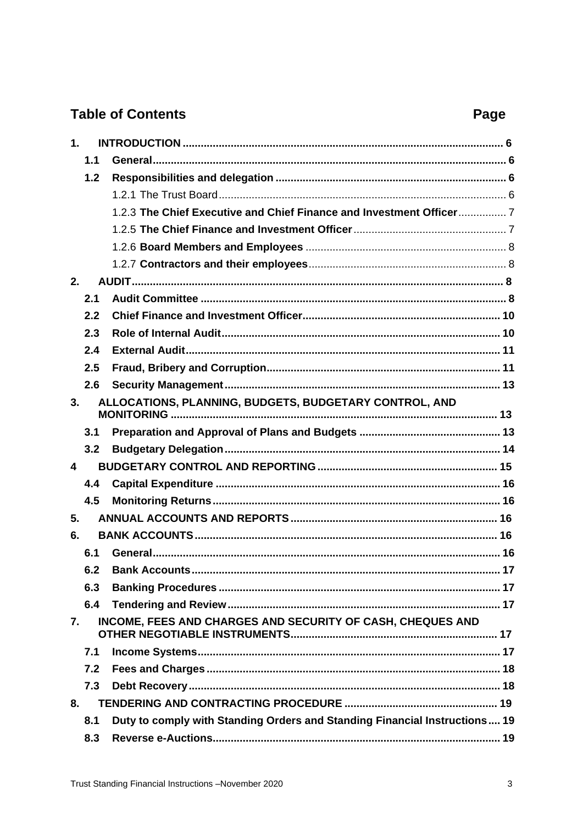# **Table of Contents**

# Page

| 1 <sub>1</sub> |     |                                                                            |
|----------------|-----|----------------------------------------------------------------------------|
|                | 1.1 |                                                                            |
|                | 1.2 |                                                                            |
|                |     |                                                                            |
|                |     | 1.2.3 The Chief Executive and Chief Finance and Investment Officer 7       |
|                |     |                                                                            |
|                |     |                                                                            |
|                |     |                                                                            |
| 2.             |     |                                                                            |
|                | 2.1 |                                                                            |
|                | 2.2 |                                                                            |
|                | 2.3 |                                                                            |
|                | 2.4 |                                                                            |
|                | 2.5 |                                                                            |
|                | 2.6 |                                                                            |
| 3.             |     | ALLOCATIONS, PLANNING, BUDGETS, BUDGETARY CONTROL, AND                     |
|                | 3.1 |                                                                            |
|                | 3.2 |                                                                            |
| 4              |     |                                                                            |
|                | 4.4 |                                                                            |
|                | 4.5 |                                                                            |
| 5.             |     |                                                                            |
| 6.             |     |                                                                            |
|                | 6.1 |                                                                            |
|                |     | 6.2 Bank Accounts<br>17                                                    |
|                | 6.3 |                                                                            |
|                | 6.4 |                                                                            |
| 7.             |     | INCOME, FEES AND CHARGES AND SECURITY OF CASH, CHEQUES AND                 |
|                | 7.1 |                                                                            |
|                | 7.2 |                                                                            |
|                | 7.3 |                                                                            |
| 8.             |     |                                                                            |
|                | 8.1 | Duty to comply with Standing Orders and Standing Financial Instructions 19 |
|                | 8.3 |                                                                            |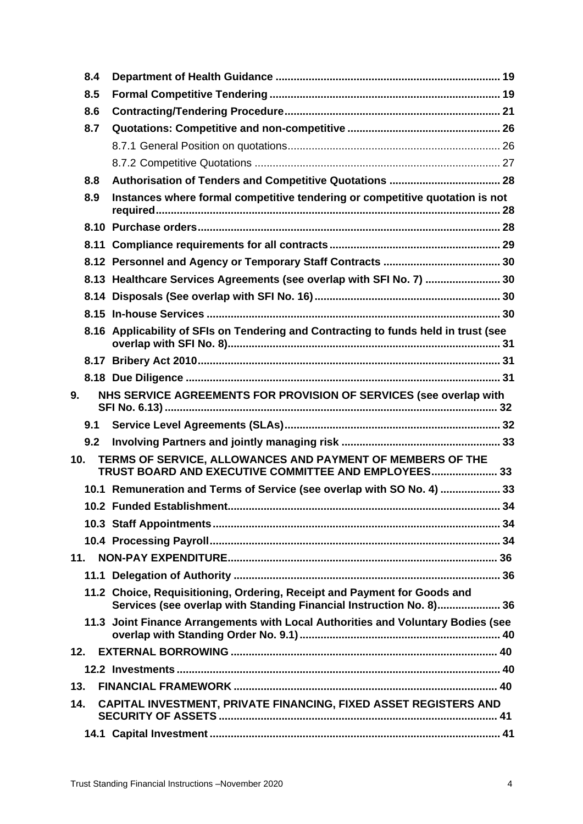|     | 8.4 |                                                                                                                                                 |    |
|-----|-----|-------------------------------------------------------------------------------------------------------------------------------------------------|----|
|     | 8.5 |                                                                                                                                                 |    |
|     | 8.6 |                                                                                                                                                 |    |
|     | 8.7 |                                                                                                                                                 |    |
|     |     |                                                                                                                                                 |    |
|     |     |                                                                                                                                                 |    |
|     | 8.8 |                                                                                                                                                 |    |
|     | 8.9 | Instances where formal competitive tendering or competitive quotation is not                                                                    |    |
|     |     |                                                                                                                                                 |    |
|     |     |                                                                                                                                                 |    |
|     |     |                                                                                                                                                 |    |
|     |     | 8.13 Healthcare Services Agreements (see overlap with SFI No. 7)  30                                                                            |    |
|     |     |                                                                                                                                                 |    |
|     |     |                                                                                                                                                 |    |
|     |     | 8.16 Applicability of SFIs on Tendering and Contracting to funds held in trust (see                                                             |    |
|     |     |                                                                                                                                                 |    |
|     |     |                                                                                                                                                 |    |
| 9.  |     | NHS SERVICE AGREEMENTS FOR PROVISION OF SERVICES (see overlap with                                                                              |    |
|     | 9.1 |                                                                                                                                                 |    |
|     | 9.2 |                                                                                                                                                 |    |
| 10. |     | TERMS OF SERVICE, ALLOWANCES AND PAYMENT OF MEMBERS OF THE<br>TRUST BOARD AND EXECUTIVE COMMITTEE AND EMPLOYEES 33                              |    |
|     |     | 10.1 Remuneration and Terms of Service (see overlap with SO No. 4)  33                                                                          |    |
|     |     |                                                                                                                                                 | 34 |
|     |     |                                                                                                                                                 |    |
|     |     |                                                                                                                                                 |    |
|     | 11. |                                                                                                                                                 |    |
|     |     |                                                                                                                                                 |    |
|     |     | 11.2 Choice, Requisitioning, Ordering, Receipt and Payment for Goods and<br>Services (see overlap with Standing Financial Instruction No. 8) 36 |    |
|     |     | 11.3 Joint Finance Arrangements with Local Authorities and Voluntary Bodies (see                                                                |    |
|     | 12. |                                                                                                                                                 |    |
|     |     |                                                                                                                                                 |    |
| 13. |     |                                                                                                                                                 |    |
| 14. |     | CAPITAL INVESTMENT, PRIVATE FINANCING, FIXED ASSET REGISTERS AND                                                                                |    |
|     |     |                                                                                                                                                 |    |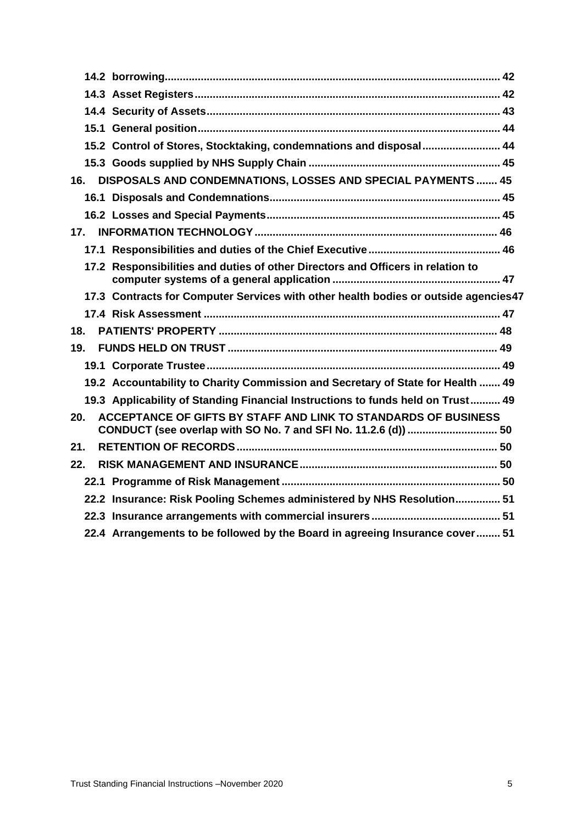|     | 15.2 Control of Stores, Stocktaking, condemnations and disposal 44                  |  |
|-----|-------------------------------------------------------------------------------------|--|
|     |                                                                                     |  |
| 16. | DISPOSALS AND CONDEMNATIONS, LOSSES AND SPECIAL PAYMENTS  45                        |  |
|     |                                                                                     |  |
|     |                                                                                     |  |
| 17. |                                                                                     |  |
|     |                                                                                     |  |
|     | 17.2 Responsibilities and duties of other Directors and Officers in relation to     |  |
|     | 17.3 Contracts for Computer Services with other health bodies or outside agencies47 |  |
|     |                                                                                     |  |
|     |                                                                                     |  |
| 18. |                                                                                     |  |
| 19. |                                                                                     |  |
|     |                                                                                     |  |
|     | 19.2 Accountability to Charity Commission and Secretary of State for Health  49     |  |
|     | 19.3 Applicability of Standing Financial Instructions to funds held on Trust 49     |  |
| 20. | ACCEPTANCE OF GIFTS BY STAFF AND LINK TO STANDARDS OF BUSINESS                      |  |
| 21. |                                                                                     |  |
| 22. |                                                                                     |  |
|     |                                                                                     |  |
|     | 22.2 Insurance: Risk Pooling Schemes administered by NHS Resolution 51              |  |
|     |                                                                                     |  |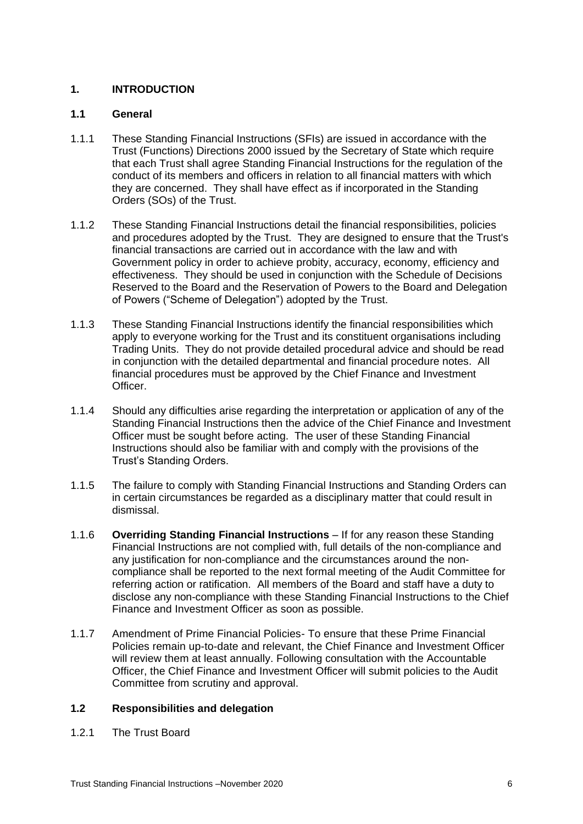# <span id="page-5-0"></span>**1. INTRODUCTION**

#### <span id="page-5-1"></span>**1.1 General**

- 1.1.1 These Standing Financial Instructions (SFIs) are issued in accordance with the Trust (Functions) Directions 2000 issued by the Secretary of State which require that each Trust shall agree Standing Financial Instructions for the regulation of the conduct of its members and officers in relation to all financial matters with which they are concerned. They shall have effect as if incorporated in the Standing Orders (SOs) of the Trust.
- 1.1.2 These Standing Financial Instructions detail the financial responsibilities, policies and procedures adopted by the Trust. They are designed to ensure that the Trust's financial transactions are carried out in accordance with the law and with Government policy in order to achieve probity, accuracy, economy, efficiency and effectiveness. They should be used in conjunction with the Schedule of Decisions Reserved to the Board and the Reservation of Powers to the Board and Delegation of Powers ("Scheme of Delegation") adopted by the Trust.
- 1.1.3 These Standing Financial Instructions identify the financial responsibilities which apply to everyone working for the Trust and its constituent organisations including Trading Units. They do not provide detailed procedural advice and should be read in conjunction with the detailed departmental and financial procedure notes. All financial procedures must be approved by the Chief Finance and Investment Officer.
- 1.1.4 Should any difficulties arise regarding the interpretation or application of any of the Standing Financial Instructions then the advice of the Chief Finance and Investment Officer must be sought before acting. The user of these Standing Financial Instructions should also be familiar with and comply with the provisions of the Trust's Standing Orders.
- 1.1.5 The failure to comply with Standing Financial Instructions and Standing Orders can in certain circumstances be regarded as a disciplinary matter that could result in dismissal.
- 1.1.6 **Overriding Standing Financial Instructions** If for any reason these Standing Financial Instructions are not complied with, full details of the non-compliance and any justification for non-compliance and the circumstances around the noncompliance shall be reported to the next formal meeting of the Audit Committee for referring action or ratification. All members of the Board and staff have a duty to disclose any non-compliance with these Standing Financial Instructions to the Chief Finance and Investment Officer as soon as possible.
- 1.1.7 Amendment of Prime Financial Policies- To ensure that these Prime Financial Policies remain up-to-date and relevant, the Chief Finance and Investment Officer will review them at least annually. Following consultation with the Accountable Officer, the Chief Finance and Investment Officer will submit policies to the Audit Committee from scrutiny and approval.

# <span id="page-5-2"></span>**1.2 Responsibilities and delegation**

<span id="page-5-3"></span>1.2.1 The Trust Board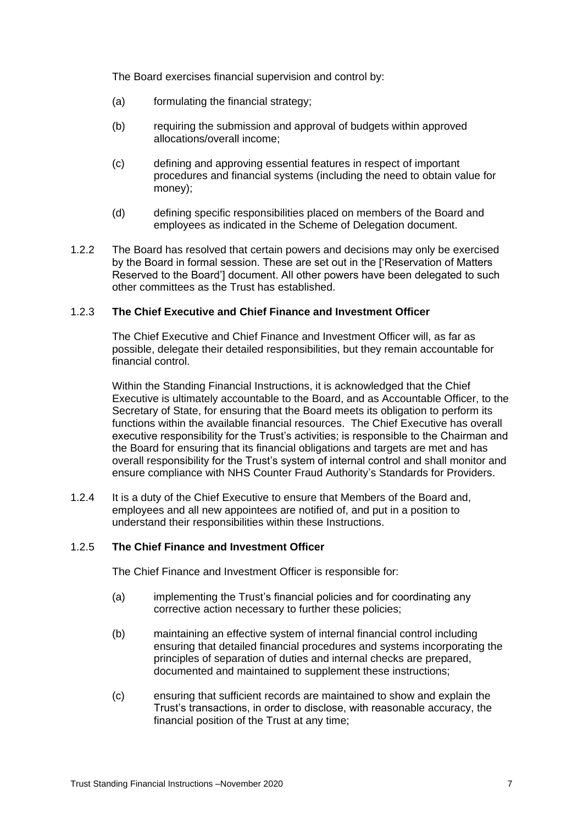The Board exercises financial supervision and control by:

- (a) formulating the financial strategy;
- (b) requiring the submission and approval of budgets within approved allocations/overall income;
- (c) defining and approving essential features in respect of important procedures and financial systems (including the need to obtain value for money);
- (d) defining specific responsibilities placed on members of the Board and employees as indicated in the Scheme of Delegation document.
- 1.2.2 The Board has resolved that certain powers and decisions may only be exercised by the Board in formal session. These are set out in the ['Reservation of Matters Reserved to the Board'] document. All other powers have been delegated to such other committees as the Trust has established.

#### <span id="page-6-0"></span>1.2.3 **The Chief Executive and Chief Finance and Investment Officer**

The Chief Executive and Chief Finance and Investment Officer will, as far as possible, delegate their detailed responsibilities, but they remain accountable for financial control.

Within the Standing Financial Instructions, it is acknowledged that the Chief Executive is ultimately accountable to the Board, and as Accountable Officer, to the Secretary of State, for ensuring that the Board meets its obligation to perform its functions within the available financial resources. The Chief Executive has overall executive responsibility for the Trust's activities; is responsible to the Chairman and the Board for ensuring that its financial obligations and targets are met and has overall responsibility for the Trust's system of internal control and shall monitor and ensure compliance with NHS Counter Fraud Authority's Standards for Providers.

1.2.4 It is a duty of the Chief Executive to ensure that Members of the Board and, employees and all new appointees are notified of, and put in a position to understand their responsibilities within these Instructions.

# <span id="page-6-1"></span>1.2.5 **The Chief Finance and Investment Officer**

The Chief Finance and Investment Officer is responsible for:

- (a) implementing the Trust's financial policies and for coordinating any corrective action necessary to further these policies;
- (b) maintaining an effective system of internal financial control including ensuring that detailed financial procedures and systems incorporating the principles of separation of duties and internal checks are prepared, documented and maintained to supplement these instructions;
- (c) ensuring that sufficient records are maintained to show and explain the Trust's transactions, in order to disclose, with reasonable accuracy, the financial position of the Trust at any time;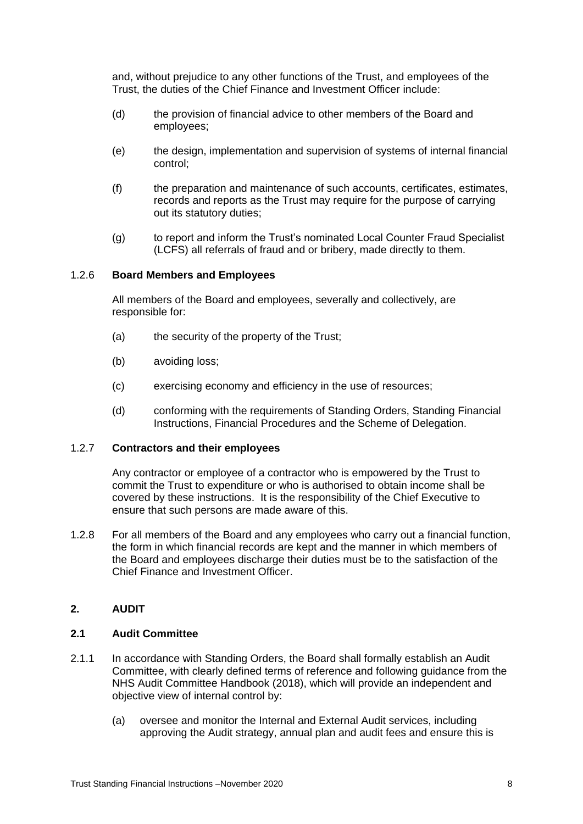and, without prejudice to any other functions of the Trust, and employees of the Trust, the duties of the Chief Finance and Investment Officer include:

- (d) the provision of financial advice to other members of the Board and employees;
- (e) the design, implementation and supervision of systems of internal financial control;
- (f) the preparation and maintenance of such accounts, certificates, estimates, records and reports as the Trust may require for the purpose of carrying out its statutory duties;
- (g) to report and inform the Trust's nominated Local Counter Fraud Specialist (LCFS) all referrals of fraud and or bribery, made directly to them.

#### <span id="page-7-0"></span>1.2.6 **Board Members and Employees**

All members of the Board and employees, severally and collectively, are responsible for:

- (a) the security of the property of the Trust;
- (b) avoiding loss;
- (c) exercising economy and efficiency in the use of resources;
- (d) conforming with the requirements of Standing Orders, Standing Financial Instructions, Financial Procedures and the Scheme of Delegation.

#### <span id="page-7-1"></span>1.2.7 **Contractors and their employees**

Any contractor or employee of a contractor who is empowered by the Trust to commit the Trust to expenditure or who is authorised to obtain income shall be covered by these instructions. It is the responsibility of the Chief Executive to ensure that such persons are made aware of this.

1.2.8 For all members of the Board and any employees who carry out a financial function, the form in which financial records are kept and the manner in which members of the Board and employees discharge their duties must be to the satisfaction of the Chief Finance and Investment Officer.

# <span id="page-7-2"></span>**2. AUDIT**

#### <span id="page-7-3"></span>**2.1 Audit Committee**

- 2.1.1 In accordance with Standing Orders, the Board shall formally establish an Audit Committee, with clearly defined terms of reference and following guidance from the NHS Audit Committee Handbook (2018), which will provide an independent and objective view of internal control by:
	- (a) oversee and monitor the Internal and External Audit services, including approving the Audit strategy, annual plan and audit fees and ensure this is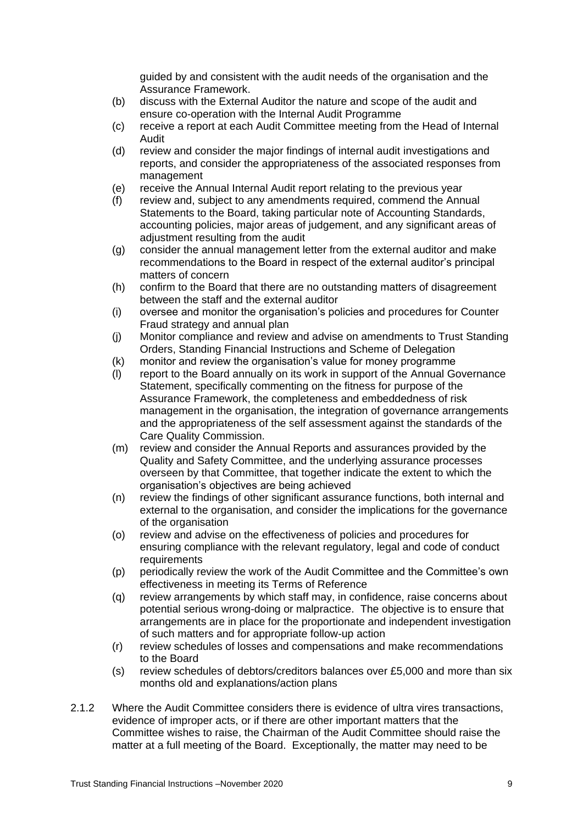guided by and consistent with the audit needs of the organisation and the Assurance Framework.

- (b) discuss with the External Auditor the nature and scope of the audit and ensure co-operation with the Internal Audit Programme
- (c) receive a report at each Audit Committee meeting from the Head of Internal Audit
- (d) review and consider the major findings of internal audit investigations and reports, and consider the appropriateness of the associated responses from management
- (e) receive the Annual Internal Audit report relating to the previous year
- (f) review and, subject to any amendments required, commend the Annual Statements to the Board, taking particular note of Accounting Standards, accounting policies, major areas of judgement, and any significant areas of adjustment resulting from the audit
- (g) consider the annual management letter from the external auditor and make recommendations to the Board in respect of the external auditor's principal matters of concern
- (h) confirm to the Board that there are no outstanding matters of disagreement between the staff and the external auditor
- (i) oversee and monitor the organisation's policies and procedures for Counter Fraud strategy and annual plan
- (j) Monitor compliance and review and advise on amendments to Trust Standing Orders, Standing Financial Instructions and Scheme of Delegation
- (k) monitor and review the organisation's value for money programme
- (l) report to the Board annually on its work in support of the Annual Governance Statement, specifically commenting on the fitness for purpose of the Assurance Framework, the completeness and embeddedness of risk management in the organisation, the integration of governance arrangements and the appropriateness of the self assessment against the standards of the Care Quality Commission.
- (m) review and consider the Annual Reports and assurances provided by the Quality and Safety Committee, and the underlying assurance processes overseen by that Committee, that together indicate the extent to which the organisation's objectives are being achieved
- (n) review the findings of other significant assurance functions, both internal and external to the organisation, and consider the implications for the governance of the organisation
- (o) review and advise on the effectiveness of policies and procedures for ensuring compliance with the relevant regulatory, legal and code of conduct **requirements**
- (p) periodically review the work of the Audit Committee and the Committee's own effectiveness in meeting its Terms of Reference
- (q) review arrangements by which staff may, in confidence, raise concerns about potential serious wrong-doing or malpractice. The objective is to ensure that arrangements are in place for the proportionate and independent investigation of such matters and for appropriate follow-up action
- (r) review schedules of losses and compensations and make recommendations to the Board
- (s) review schedules of debtors/creditors balances over £5,000 and more than six months old and explanations/action plans
- 2.1.2 Where the Audit Committee considers there is evidence of ultra vires transactions, evidence of improper acts, or if there are other important matters that the Committee wishes to raise, the Chairman of the Audit Committee should raise the matter at a full meeting of the Board. Exceptionally, the matter may need to be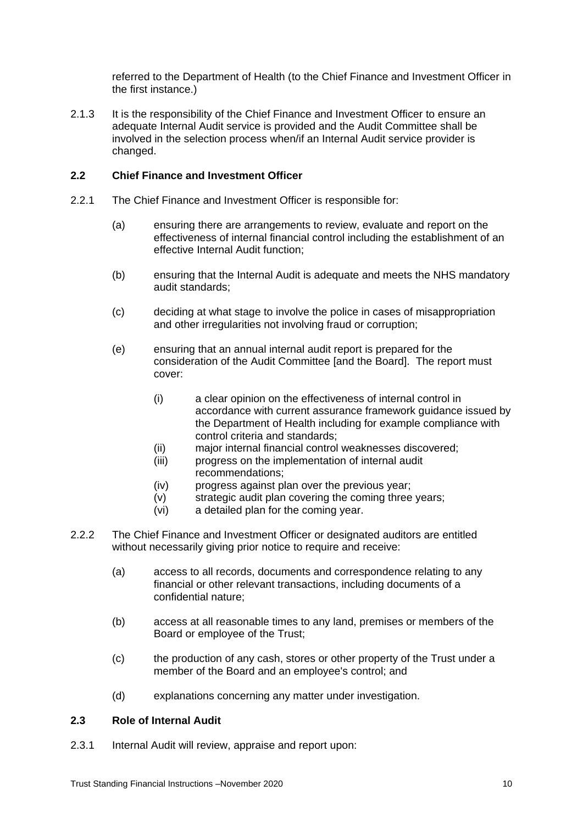referred to the Department of Health (to the Chief Finance and Investment Officer in the first instance.)

2.1.3 It is the responsibility of the Chief Finance and Investment Officer to ensure an adequate Internal Audit service is provided and the Audit Committee shall be involved in the selection process when/if an Internal Audit service provider is changed.

#### <span id="page-9-0"></span>**2.2 Chief Finance and Investment Officer**

- 2.2.1 The Chief Finance and Investment Officer is responsible for:
	- (a) ensuring there are arrangements to review, evaluate and report on the effectiveness of internal financial control including the establishment of an effective Internal Audit function;
	- (b) ensuring that the Internal Audit is adequate and meets the NHS mandatory audit standards;
	- (c) deciding at what stage to involve the police in cases of misappropriation and other irregularities not involving fraud or corruption;
	- (e) ensuring that an annual internal audit report is prepared for the consideration of the Audit Committee [and the Board]. The report must cover:
		- (i) a clear opinion on the effectiveness of internal control in accordance with current assurance framework guidance issued by the Department of Health including for example compliance with control criteria and standards;
		- (ii) major internal financial control weaknesses discovered;
		- (iii) progress on the implementation of internal audit recommendations;
		- (iv) progress against plan over the previous year;
		- (v) strategic audit plan covering the coming three years;
		- (vi) a detailed plan for the coming year.
- 2.2.2 The Chief Finance and Investment Officer or designated auditors are entitled without necessarily giving prior notice to require and receive:
	- (a) access to all records, documents and correspondence relating to any financial or other relevant transactions, including documents of a confidential nature;
	- (b) access at all reasonable times to any land, premises or members of the Board or employee of the Trust;
	- (c) the production of any cash, stores or other property of the Trust under a member of the Board and an employee's control; and
	- (d) explanations concerning any matter under investigation.

#### <span id="page-9-1"></span>**2.3 Role of Internal Audit**

2.3.1 Internal Audit will review, appraise and report upon: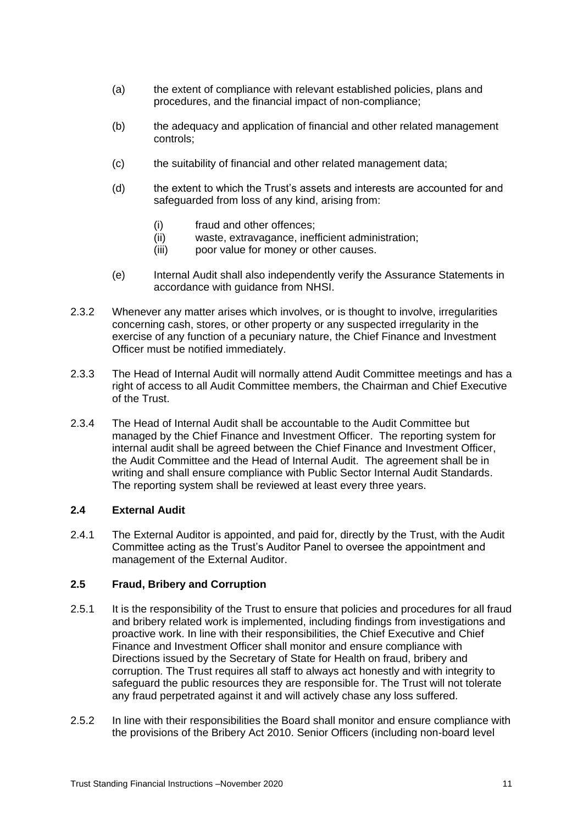- (a) the extent of compliance with relevant established policies, plans and procedures, and the financial impact of non-compliance;
- (b) the adequacy and application of financial and other related management controls;
- (c) the suitability of financial and other related management data;
- (d) the extent to which the Trust's assets and interests are accounted for and safeguarded from loss of any kind, arising from:
	- (i) fraud and other offences;
	- (ii) waste, extravagance, inefficient administration;
	- (iii) poor value for money or other causes.
- (e) Internal Audit shall also independently verify the Assurance Statements in accordance with guidance from NHSI.
- 2.3.2 Whenever any matter arises which involves, or is thought to involve, irregularities concerning cash, stores, or other property or any suspected irregularity in the exercise of any function of a pecuniary nature, the Chief Finance and Investment Officer must be notified immediately.
- 2.3.3 The Head of Internal Audit will normally attend Audit Committee meetings and has a right of access to all Audit Committee members, the Chairman and Chief Executive of the Trust.
- 2.3.4 The Head of Internal Audit shall be accountable to the Audit Committee but managed by the Chief Finance and Investment Officer. The reporting system for internal audit shall be agreed between the Chief Finance and Investment Officer, the Audit Committee and the Head of Internal Audit. The agreement shall be in writing and shall ensure compliance with Public Sector Internal Audit Standards. The reporting system shall be reviewed at least every three years.

# <span id="page-10-0"></span>**2.4 External Audit**

2.4.1 The External Auditor is appointed, and paid for, directly by the Trust, with the Audit Committee acting as the Trust's Auditor Panel to oversee the appointment and management of the External Auditor.

# <span id="page-10-1"></span>**2.5 Fraud, Bribery and Corruption**

- 2.5.1 It is the responsibility of the Trust to ensure that policies and procedures for all fraud and bribery related work is implemented, including findings from investigations and proactive work. In line with their responsibilities, the Chief Executive and Chief Finance and Investment Officer shall monitor and ensure compliance with Directions issued by the Secretary of State for Health on fraud, bribery and corruption. The Trust requires all staff to always act honestly and with integrity to safeguard the public resources they are responsible for. The Trust will not tolerate any fraud perpetrated against it and will actively chase any loss suffered.
- 2.5.2 In line with their responsibilities the Board shall monitor and ensure compliance with the provisions of the Bribery Act 2010. Senior Officers (including non-board level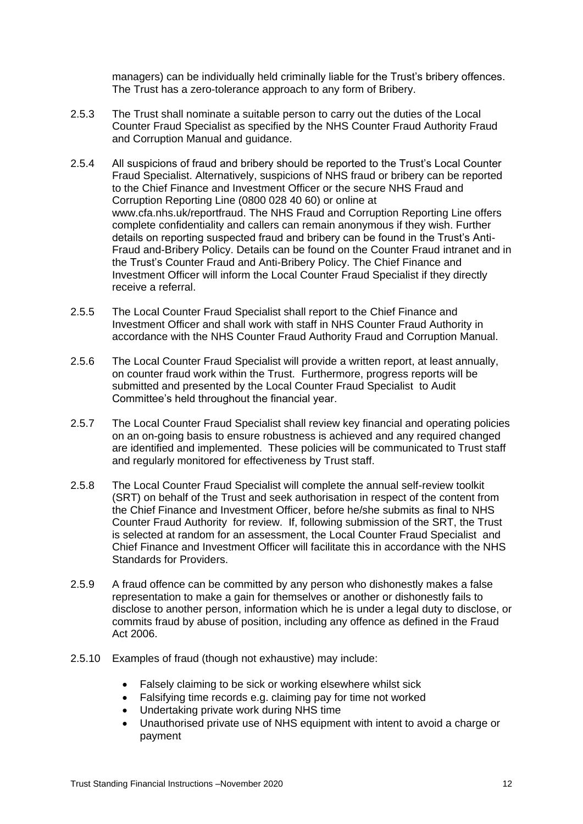managers) can be individually held criminally liable for the Trust's bribery offences. The Trust has a zero-tolerance approach to any form of Bribery.

- 2.5.3 The Trust shall nominate a suitable person to carry out the duties of the Local Counter Fraud Specialist as specified by the NHS Counter Fraud Authority Fraud and Corruption Manual and guidance.
- 2.5.4 All suspicions of fraud and bribery should be reported to the Trust's Local Counter Fraud Specialist. Alternatively, suspicions of NHS fraud or bribery can be reported to the Chief Finance and Investment Officer or the secure NHS Fraud and Corruption Reporting Line (0800 028 40 60) or online at www.cfa.nhs.uk/reportfraud. The NHS Fraud and Corruption Reporting Line offers complete confidentiality and callers can remain anonymous if they wish. Further details on reporting suspected fraud and bribery can be found in the Trust's Anti-Fraud and-Bribery Policy. Details can be found on the Counter Fraud intranet and in the Trust's Counter Fraud and Anti-Bribery Policy. The Chief Finance and Investment Officer will inform the Local Counter Fraud Specialist if they directly receive a referral.
- 2.5.5 The Local Counter Fraud Specialist shall report to the Chief Finance and Investment Officer and shall work with staff in NHS Counter Fraud Authority in accordance with the NHS Counter Fraud Authority Fraud and Corruption Manual.
- 2.5.6 The Local Counter Fraud Specialist will provide a written report, at least annually, on counter fraud work within the Trust. Furthermore, progress reports will be submitted and presented by the Local Counter Fraud Specialist to Audit Committee's held throughout the financial year.
- 2.5.7 The Local Counter Fraud Specialist shall review key financial and operating policies on an on-going basis to ensure robustness is achieved and any required changed are identified and implemented. These policies will be communicated to Trust staff and regularly monitored for effectiveness by Trust staff.
- 2.5.8 The Local Counter Fraud Specialist will complete the annual self-review toolkit (SRT) on behalf of the Trust and seek authorisation in respect of the content from the Chief Finance and Investment Officer, before he/she submits as final to NHS Counter Fraud Authority for review. If, following submission of the SRT, the Trust is selected at random for an assessment, the Local Counter Fraud Specialist and Chief Finance and Investment Officer will facilitate this in accordance with the NHS Standards for Providers.
- 2.5.9 A fraud offence can be committed by any person who dishonestly makes a false representation to make a gain for themselves or another or dishonestly fails to disclose to another person, information which he is under a legal duty to disclose, or commits fraud by abuse of position, including any offence as defined in the Fraud Act 2006.
- 2.5.10 Examples of fraud (though not exhaustive) may include:
	- Falsely claiming to be sick or working elsewhere whilst sick
	- Falsifying time records e.g. claiming pay for time not worked
	- Undertaking private work during NHS time
	- Unauthorised private use of NHS equipment with intent to avoid a charge or payment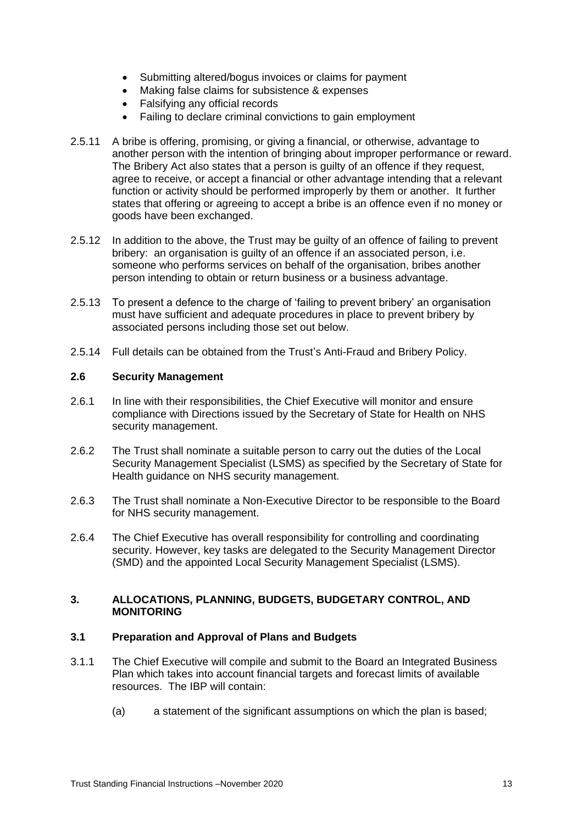- Submitting altered/bogus invoices or claims for payment
- Making false claims for subsistence & expenses
- Falsifving any official records
- Failing to declare criminal convictions to gain employment
- 2.5.11 A bribe is offering, promising, or giving a financial, or otherwise, advantage to another person with the intention of bringing about improper performance or reward. The Bribery Act also states that a person is guilty of an offence if they request, agree to receive, or accept a financial or other advantage intending that a relevant function or activity should be performed improperly by them or another. It further states that offering or agreeing to accept a bribe is an offence even if no money or goods have been exchanged.
- 2.5.12 In addition to the above, the Trust may be guilty of an offence of failing to prevent bribery: an organisation is guilty of an offence if an associated person, i.e. someone who performs services on behalf of the organisation, bribes another person intending to obtain or return business or a business advantage.
- 2.5.13 To present a defence to the charge of 'failing to prevent bribery' an organisation must have sufficient and adequate procedures in place to prevent bribery by associated persons including those set out below.
- 2.5.14 Full details can be obtained from the Trust's Anti-Fraud and Bribery Policy.

#### <span id="page-12-0"></span>**2.6 Security Management**

- 2.6.1 In line with their responsibilities, the Chief Executive will monitor and ensure compliance with Directions issued by the Secretary of State for Health on NHS security management.
- 2.6.2 The Trust shall nominate a suitable person to carry out the duties of the Local Security Management Specialist (LSMS) as specified by the Secretary of State for Health guidance on NHS security management.
- 2.6.3 The Trust shall nominate a Non-Executive Director to be responsible to the Board for NHS security management.
- 2.6.4 The Chief Executive has overall responsibility for controlling and coordinating security. However, key tasks are delegated to the Security Management Director (SMD) and the appointed Local Security Management Specialist (LSMS).

#### <span id="page-12-1"></span>**3. ALLOCATIONS, PLANNING, BUDGETS, BUDGETARY CONTROL, AND MONITORING**

#### <span id="page-12-2"></span>**3.1 Preparation and Approval of Plans and Budgets**

- 3.1.1 The Chief Executive will compile and submit to the Board an Integrated Business Plan which takes into account financial targets and forecast limits of available resources. The IBP will contain:
	- (a) a statement of the significant assumptions on which the plan is based;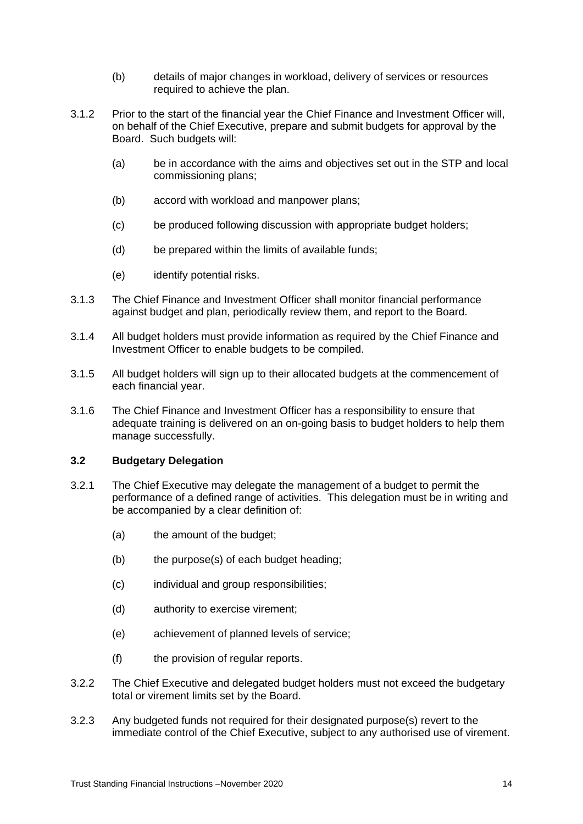- (b) details of major changes in workload, delivery of services or resources required to achieve the plan.
- 3.1.2 Prior to the start of the financial year the Chief Finance and Investment Officer will, on behalf of the Chief Executive, prepare and submit budgets for approval by the Board. Such budgets will:
	- (a) be in accordance with the aims and objectives set out in the STP and local commissioning plans;
	- (b) accord with workload and manpower plans;
	- (c) be produced following discussion with appropriate budget holders;
	- (d) be prepared within the limits of available funds;
	- (e) identify potential risks.
- 3.1.3 The Chief Finance and Investment Officer shall monitor financial performance against budget and plan, periodically review them, and report to the Board.
- 3.1.4 All budget holders must provide information as required by the Chief Finance and Investment Officer to enable budgets to be compiled.
- 3.1.5 All budget holders will sign up to their allocated budgets at the commencement of each financial year.
- 3.1.6 The Chief Finance and Investment Officer has a responsibility to ensure that adequate training is delivered on an on-going basis to budget holders to help them manage successfully.

#### <span id="page-13-0"></span>**3.2 Budgetary Delegation**

- 3.2.1 The Chief Executive may delegate the management of a budget to permit the performance of a defined range of activities. This delegation must be in writing and be accompanied by a clear definition of:
	- (a) the amount of the budget;
	- (b) the purpose(s) of each budget heading;
	- (c) individual and group responsibilities;
	- (d) authority to exercise virement;
	- (e) achievement of planned levels of service;
	- (f) the provision of regular reports.
- 3.2.2 The Chief Executive and delegated budget holders must not exceed the budgetary total or virement limits set by the Board.
- 3.2.3 Any budgeted funds not required for their designated purpose(s) revert to the immediate control of the Chief Executive, subject to any authorised use of virement.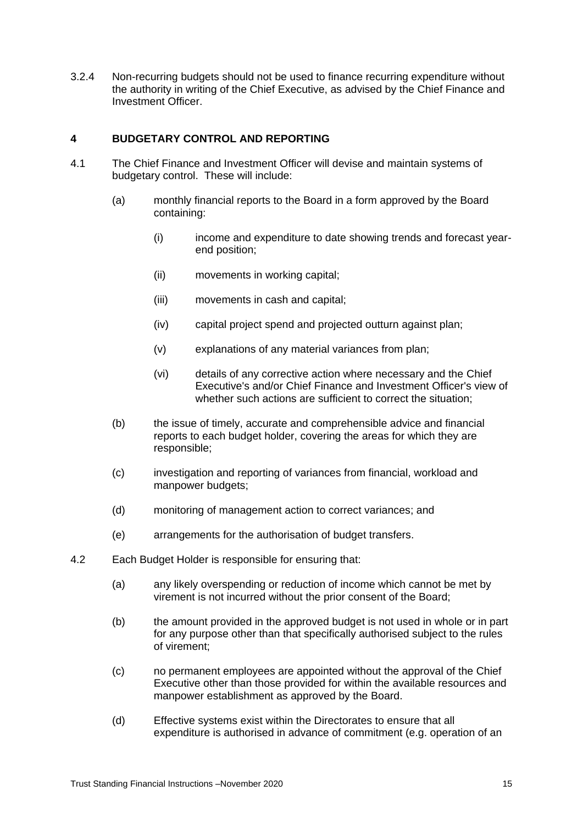3.2.4 Non-recurring budgets should not be used to finance recurring expenditure without the authority in writing of the Chief Executive, as advised by the Chief Finance and Investment Officer.

# <span id="page-14-0"></span>**4 BUDGETARY CONTROL AND REPORTING**

- 4.1 The Chief Finance and Investment Officer will devise and maintain systems of budgetary control. These will include:
	- (a) monthly financial reports to the Board in a form approved by the Board containing:
		- (i) income and expenditure to date showing trends and forecast yearend position;
		- (ii) movements in working capital;
		- (iii) movements in cash and capital;
		- (iv) capital project spend and projected outturn against plan;
		- (v) explanations of any material variances from plan;
		- (vi) details of any corrective action where necessary and the Chief Executive's and/or Chief Finance and Investment Officer's view of whether such actions are sufficient to correct the situation:
	- (b) the issue of timely, accurate and comprehensible advice and financial reports to each budget holder, covering the areas for which they are responsible;
	- (c) investigation and reporting of variances from financial, workload and manpower budgets;
	- (d) monitoring of management action to correct variances; and
	- (e) arrangements for the authorisation of budget transfers.
- 4.2 Each Budget Holder is responsible for ensuring that:
	- (a) any likely overspending or reduction of income which cannot be met by virement is not incurred without the prior consent of the Board;
	- (b) the amount provided in the approved budget is not used in whole or in part for any purpose other than that specifically authorised subject to the rules of virement;
	- (c) no permanent employees are appointed without the approval of the Chief Executive other than those provided for within the available resources and manpower establishment as approved by the Board.
	- (d) Effective systems exist within the Directorates to ensure that all expenditure is authorised in advance of commitment (e.g. operation of an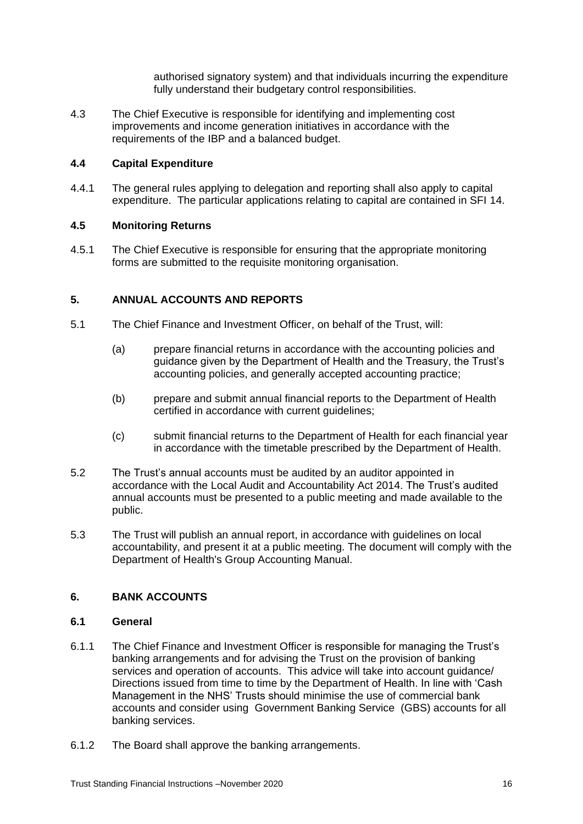authorised signatory system) and that individuals incurring the expenditure fully understand their budgetary control responsibilities.

4.3 The Chief Executive is responsible for identifying and implementing cost improvements and income generation initiatives in accordance with the requirements of the IBP and a balanced budget.

# <span id="page-15-0"></span>**4.4 Capital Expenditure**

4.4.1 The general rules applying to delegation and reporting shall also apply to capital expenditure. The particular applications relating to capital are contained in SFI 14.

#### <span id="page-15-1"></span>**4.5 Monitoring Returns**

4.5.1 The Chief Executive is responsible for ensuring that the appropriate monitoring forms are submitted to the requisite monitoring organisation.

# <span id="page-15-2"></span>**5. ANNUAL ACCOUNTS AND REPORTS**

- 5.1 The Chief Finance and Investment Officer, on behalf of the Trust, will:
	- (a) prepare financial returns in accordance with the accounting policies and guidance given by the Department of Health and the Treasury, the Trust's accounting policies, and generally accepted accounting practice;
	- (b) prepare and submit annual financial reports to the Department of Health certified in accordance with current guidelines;
	- (c) submit financial returns to the Department of Health for each financial year in accordance with the timetable prescribed by the Department of Health.
- 5.2 The Trust's annual accounts must be audited by an auditor appointed in accordance with the Local Audit and Accountability Act 2014. The Trust's audited annual accounts must be presented to a public meeting and made available to the public.
- 5.3 The Trust will publish an annual report, in accordance with guidelines on local accountability, and present it at a public meeting. The document will comply with the Department of Health's Group Accounting Manual.

# <span id="page-15-3"></span>**6. BANK ACCOUNTS**

#### <span id="page-15-4"></span>**6.1 General**

- 6.1.1 The Chief Finance and Investment Officer is responsible for managing the Trust's banking arrangements and for advising the Trust on the provision of banking services and operation of accounts. This advice will take into account guidance/ Directions issued from time to time by the Department of Health. In line with 'Cash Management in the NHS' Trusts should minimise the use of commercial bank accounts and consider using Government Banking Service (GBS) accounts for all banking services.
- 6.1.2 The Board shall approve the banking arrangements.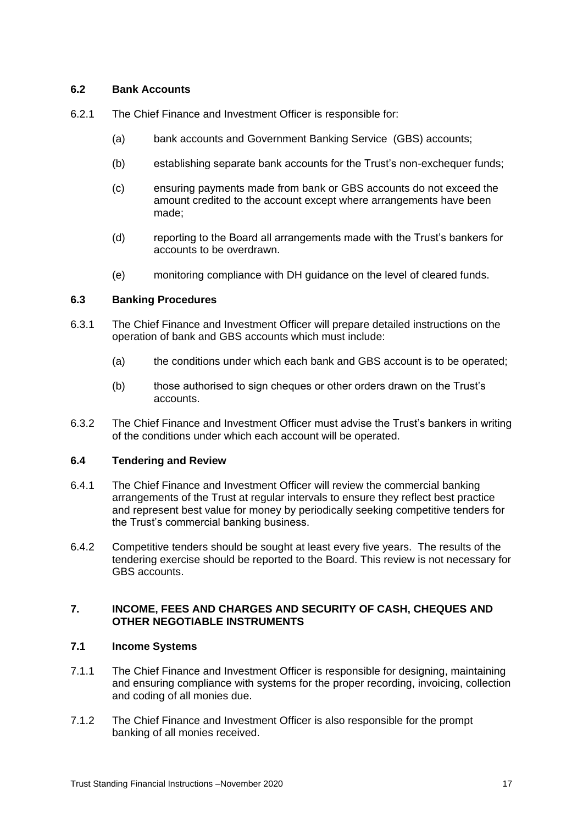# <span id="page-16-0"></span>**6.2 Bank Accounts**

- 6.2.1 The Chief Finance and Investment Officer is responsible for:
	- (a) bank accounts and Government Banking Service (GBS) accounts;
	- (b) establishing separate bank accounts for the Trust's non-exchequer funds;
	- (c) ensuring payments made from bank or GBS accounts do not exceed the amount credited to the account except where arrangements have been made;
	- (d) reporting to the Board all arrangements made with the Trust's bankers for accounts to be overdrawn.
	- (e) monitoring compliance with DH guidance on the level of cleared funds.

#### <span id="page-16-1"></span>**6.3 Banking Procedures**

- 6.3.1 The Chief Finance and Investment Officer will prepare detailed instructions on the operation of bank and GBS accounts which must include:
	- (a) the conditions under which each bank and GBS account is to be operated;
	- (b) those authorised to sign cheques or other orders drawn on the Trust's accounts.
- 6.3.2 The Chief Finance and Investment Officer must advise the Trust's bankers in writing of the conditions under which each account will be operated.

#### <span id="page-16-2"></span>**6.4 Tendering and Review**

- 6.4.1 The Chief Finance and Investment Officer will review the commercial banking arrangements of the Trust at regular intervals to ensure they reflect best practice and represent best value for money by periodically seeking competitive tenders for the Trust's commercial banking business.
- 6.4.2 Competitive tenders should be sought at least every five years. The results of the tendering exercise should be reported to the Board. This review is not necessary for GBS accounts.

# <span id="page-16-3"></span>**7. INCOME, FEES AND CHARGES AND SECURITY OF CASH, CHEQUES AND OTHER NEGOTIABLE INSTRUMENTS**

# <span id="page-16-4"></span>**7.1 Income Systems**

- 7.1.1 The Chief Finance and Investment Officer is responsible for designing, maintaining and ensuring compliance with systems for the proper recording, invoicing, collection and coding of all monies due.
- 7.1.2 The Chief Finance and Investment Officer is also responsible for the prompt banking of all monies received.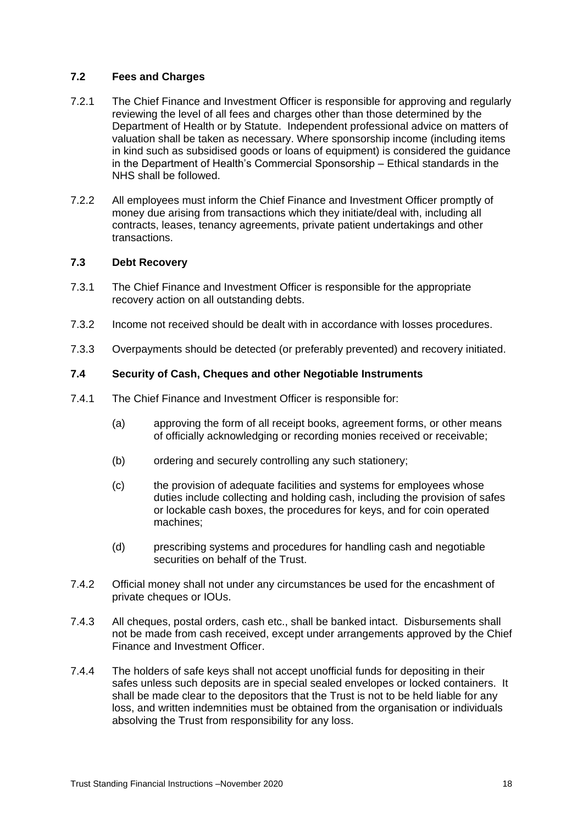# <span id="page-17-0"></span>**7.2 Fees and Charges**

- 7.2.1 The Chief Finance and Investment Officer is responsible for approving and regularly reviewing the level of all fees and charges other than those determined by the Department of Health or by Statute. Independent professional advice on matters of valuation shall be taken as necessary. Where sponsorship income (including items in kind such as subsidised goods or loans of equipment) is considered the guidance in the Department of Health's Commercial Sponsorship – Ethical standards in the NHS shall be followed.
- 7.2.2 All employees must inform the Chief Finance and Investment Officer promptly of money due arising from transactions which they initiate/deal with, including all contracts, leases, tenancy agreements, private patient undertakings and other transactions.

#### <span id="page-17-1"></span>**7.3 Debt Recovery**

- 7.3.1 The Chief Finance and Investment Officer is responsible for the appropriate recovery action on all outstanding debts.
- 7.3.2 Income not received should be dealt with in accordance with losses procedures.
- 7.3.3 Overpayments should be detected (or preferably prevented) and recovery initiated.

#### **7.4 Security of Cash, Cheques and other Negotiable Instruments**

- 7.4.1 The Chief Finance and Investment Officer is responsible for:
	- (a) approving the form of all receipt books, agreement forms, or other means of officially acknowledging or recording monies received or receivable;
	- (b) ordering and securely controlling any such stationery;
	- (c) the provision of adequate facilities and systems for employees whose duties include collecting and holding cash, including the provision of safes or lockable cash boxes, the procedures for keys, and for coin operated machines;
	- (d) prescribing systems and procedures for handling cash and negotiable securities on behalf of the Trust.
- 7.4.2 Official money shall not under any circumstances be used for the encashment of private cheques or IOUs.
- 7.4.3 All cheques, postal orders, cash etc., shall be banked intact. Disbursements shall not be made from cash received, except under arrangements approved by the Chief Finance and Investment Officer.
- 7.4.4 The holders of safe keys shall not accept unofficial funds for depositing in their safes unless such deposits are in special sealed envelopes or locked containers. It shall be made clear to the depositors that the Trust is not to be held liable for any loss, and written indemnities must be obtained from the organisation or individuals absolving the Trust from responsibility for any loss.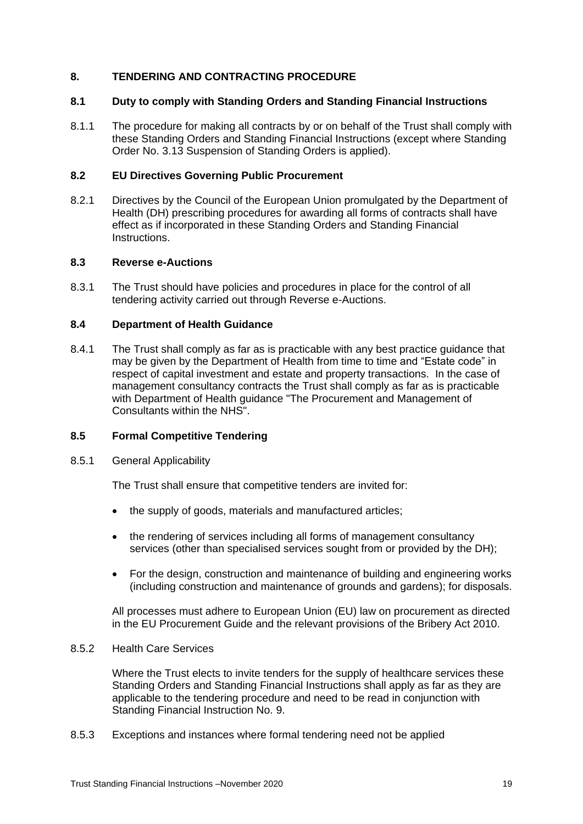#### <span id="page-18-0"></span>**8. TENDERING AND CONTRACTING PROCEDURE**

#### <span id="page-18-1"></span>**8.1 Duty to comply with Standing Orders and Standing Financial Instructions**

8.1.1 The procedure for making all contracts by or on behalf of the Trust shall comply with these Standing Orders and Standing Financial Instructions (except where Standing Order No. 3.13 Suspension of Standing Orders is applied).

#### **8.2 EU Directives Governing Public Procurement**

8.2.1 Directives by the Council of the European Union promulgated by the Department of Health (DH) prescribing procedures for awarding all forms of contracts shall have effect as if incorporated in these Standing Orders and Standing Financial Instructions.

# <span id="page-18-2"></span>**8.3 Reverse e-Auctions**

8.3.1 The Trust should have policies and procedures in place for the control of all tendering activity carried out through Reverse e-Auctions.

#### <span id="page-18-3"></span>**8.4 Department of Health Guidance**

8.4.1 The Trust shall comply as far as is practicable with any best practice guidance that may be given by the Department of Health from time to time and "Estate code" in respect of capital investment and estate and property transactions. In the case of management consultancy contracts the Trust shall comply as far as is practicable with Department of Health guidance "The Procurement and Management of Consultants within the NHS".

# <span id="page-18-4"></span>**8.5 Formal Competitive Tendering**

#### 8.5.1 General Applicability

The Trust shall ensure that competitive tenders are invited for:

- the supply of goods, materials and manufactured articles:
- the rendering of services including all forms of management consultancy services (other than specialised services sought from or provided by the DH);
- For the design, construction and maintenance of building and engineering works (including construction and maintenance of grounds and gardens); for disposals.

All processes must adhere to European Union (EU) law on procurement as directed in the EU Procurement Guide and the relevant provisions of the Bribery Act 2010.

#### 8.5.2 Health Care Services

Where the Trust elects to invite tenders for the supply of healthcare services these Standing Orders and Standing Financial Instructions shall apply as far as they are applicable to the tendering procedure and need to be read in conjunction with Standing Financial Instruction No. 9.

8.5.3 Exceptions and instances where formal tendering need not be applied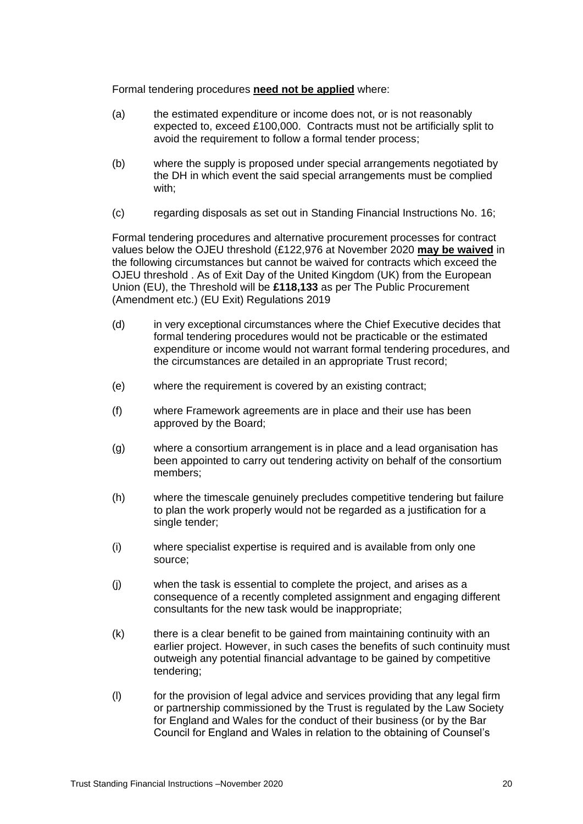Formal tendering procedures **need not be applied** where:

- (a) the estimated expenditure or income does not, or is not reasonably expected to, exceed £100,000. Contracts must not be artificially split to avoid the requirement to follow a formal tender process;
- (b) where the supply is proposed under special arrangements negotiated by the DH in which event the said special arrangements must be complied with;
- (c) regarding disposals as set out in Standing Financial Instructions No. 16;

Formal tendering procedures and alternative procurement processes for contract values below the OJEU threshold (£122,976 at November 2020 **may be waived** in the following circumstances but cannot be waived for contracts which exceed the OJEU threshold . As of Exit Day of the United Kingdom (UK) from the European Union (EU), the Threshold will be **£118,133** as per The Public Procurement (Amendment etc.) (EU Exit) Regulations 2019

- (d) in very exceptional circumstances where the Chief Executive decides that formal tendering procedures would not be practicable or the estimated expenditure or income would not warrant formal tendering procedures, and the circumstances are detailed in an appropriate Trust record;
- (e) where the requirement is covered by an existing contract;
- (f) where Framework agreements are in place and their use has been approved by the Board;
- (g) where a consortium arrangement is in place and a lead organisation has been appointed to carry out tendering activity on behalf of the consortium members;
- (h) where the timescale genuinely precludes competitive tendering but failure to plan the work properly would not be regarded as a justification for a single tender;
- (i) where specialist expertise is required and is available from only one source;
- (j) when the task is essential to complete the project, and arises as a consequence of a recently completed assignment and engaging different consultants for the new task would be inappropriate;
- (k) there is a clear benefit to be gained from maintaining continuity with an earlier project. However, in such cases the benefits of such continuity must outweigh any potential financial advantage to be gained by competitive tendering;
- (l) for the provision of legal advice and services providing that any legal firm or partnership commissioned by the Trust is regulated by the Law Society for England and Wales for the conduct of their business (or by the Bar Council for England and Wales in relation to the obtaining of Counsel's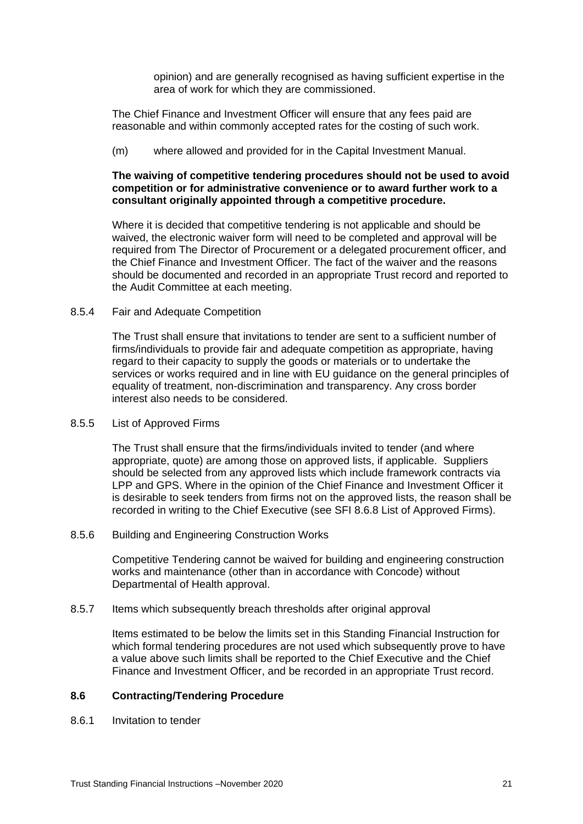opinion) and are generally recognised as having sufficient expertise in the area of work for which they are commissioned.

The Chief Finance and Investment Officer will ensure that any fees paid are reasonable and within commonly accepted rates for the costing of such work.

(m) where allowed and provided for in the Capital Investment Manual.

#### **The waiving of competitive tendering procedures should not be used to avoid competition or for administrative convenience or to award further work to a consultant originally appointed through a competitive procedure.**

Where it is decided that competitive tendering is not applicable and should be waived, the electronic waiver form will need to be completed and approval will be required from The Director of Procurement or a delegated procurement officer, and the Chief Finance and Investment Officer. The fact of the waiver and the reasons should be documented and recorded in an appropriate Trust record and reported to the Audit Committee at each meeting.

#### 8.5.4 Fair and Adequate Competition

The Trust shall ensure that invitations to tender are sent to a sufficient number of firms/individuals to provide fair and adequate competition as appropriate, having regard to their capacity to supply the goods or materials or to undertake the services or works required and in line with EU guidance on the general principles of equality of treatment, non-discrimination and transparency. Any cross border interest also needs to be considered.

#### 8.5.5 List of Approved Firms

The Trust shall ensure that the firms/individuals invited to tender (and where appropriate, quote) are among those on approved lists, if applicable. Suppliers should be selected from any approved lists which include framework contracts via LPP and GPS. Where in the opinion of the Chief Finance and Investment Officer it is desirable to seek tenders from firms not on the approved lists, the reason shall be recorded in writing to the Chief Executive (see SFI 8.6.8 List of Approved Firms).

8.5.6 Building and Engineering Construction Works

Competitive Tendering cannot be waived for building and engineering construction works and maintenance (other than in accordance with Concode) without Departmental of Health approval.

#### 8.5.7 Items which subsequently breach thresholds after original approval

Items estimated to be below the limits set in this Standing Financial Instruction for which formal tendering procedures are not used which subsequently prove to have a value above such limits shall be reported to the Chief Executive and the Chief Finance and Investment Officer, and be recorded in an appropriate Trust record.

#### <span id="page-20-0"></span>**8.6 Contracting/Tendering Procedure**

8.6.1 Invitation to tender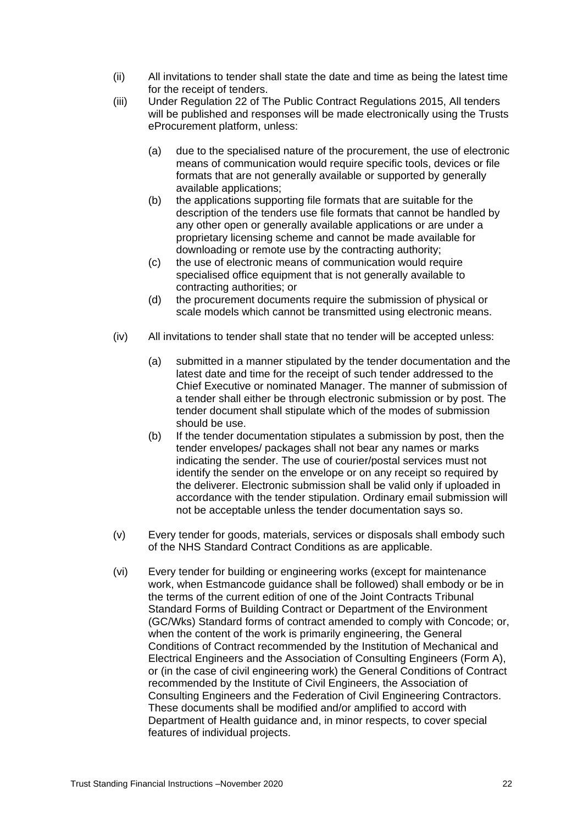- (ii) All invitations to tender shall state the date and time as being the latest time for the receipt of tenders.
- (iii) Under Regulation 22 of The Public Contract Regulations 2015, All tenders will be published and responses will be made electronically using the Trusts eProcurement platform, unless:
	- (a) due to the specialised nature of the procurement, the use of electronic means of communication would require specific tools, devices or file formats that are not generally available or supported by generally available applications;
	- (b) the applications supporting file formats that are suitable for the description of the tenders use file formats that cannot be handled by any other open or generally available applications or are under a proprietary licensing scheme and cannot be made available for downloading or remote use by the contracting authority;
	- (c) the use of electronic means of communication would require specialised office equipment that is not generally available to contracting authorities; or
	- (d) the procurement documents require the submission of physical or scale models which cannot be transmitted using electronic means.
- (iv) All invitations to tender shall state that no tender will be accepted unless:
	- (a) submitted in a manner stipulated by the tender documentation and the latest date and time for the receipt of such tender addressed to the Chief Executive or nominated Manager. The manner of submission of a tender shall either be through electronic submission or by post. The tender document shall stipulate which of the modes of submission should be use.
	- (b) If the tender documentation stipulates a submission by post, then the tender envelopes/ packages shall not bear any names or marks indicating the sender. The use of courier/postal services must not identify the sender on the envelope or on any receipt so required by the deliverer. Electronic submission shall be valid only if uploaded in accordance with the tender stipulation. Ordinary email submission will not be acceptable unless the tender documentation says so.
- (v) Every tender for goods, materials, services or disposals shall embody such of the NHS Standard Contract Conditions as are applicable.
- (vi) Every tender for building or engineering works (except for maintenance work, when Estmancode guidance shall be followed) shall embody or be in the terms of the current edition of one of the Joint Contracts Tribunal Standard Forms of Building Contract or Department of the Environment (GC/Wks) Standard forms of contract amended to comply with Concode; or, when the content of the work is primarily engineering, the General Conditions of Contract recommended by the Institution of Mechanical and Electrical Engineers and the Association of Consulting Engineers (Form A), or (in the case of civil engineering work) the General Conditions of Contract recommended by the Institute of Civil Engineers, the Association of Consulting Engineers and the Federation of Civil Engineering Contractors. These documents shall be modified and/or amplified to accord with Department of Health guidance and, in minor respects, to cover special features of individual projects.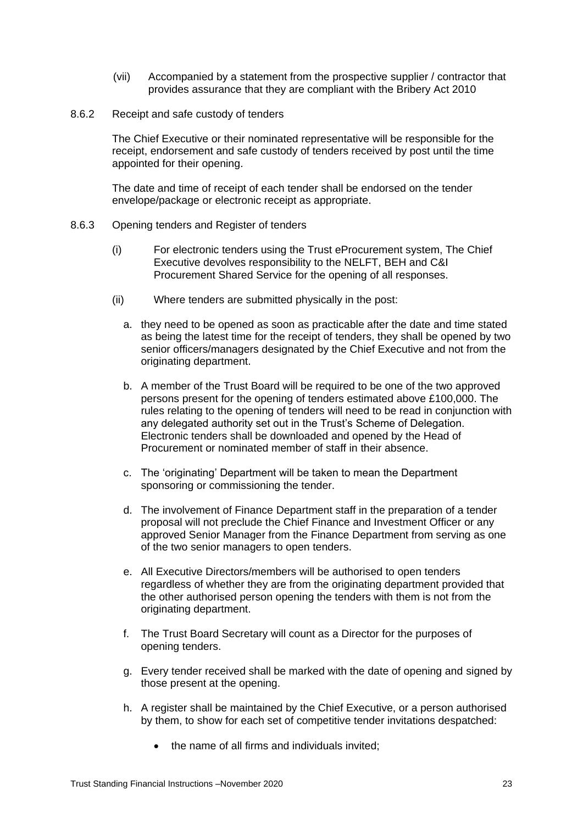- (vii) Accompanied by a statement from the prospective supplier / contractor that provides assurance that they are compliant with the Bribery Act 2010
- 8.6.2 Receipt and safe custody of tenders

The Chief Executive or their nominated representative will be responsible for the receipt, endorsement and safe custody of tenders received by post until the time appointed for their opening.

The date and time of receipt of each tender shall be endorsed on the tender envelope/package or electronic receipt as appropriate.

- 8.6.3 Opening tenders and Register of tenders
	- (i) For electronic tenders using the Trust eProcurement system, The Chief Executive devolves responsibility to the NELFT, BEH and C&I Procurement Shared Service for the opening of all responses.
	- (ii) Where tenders are submitted physically in the post:
		- a. they need to be opened as soon as practicable after the date and time stated as being the latest time for the receipt of tenders, they shall be opened by two senior officers/managers designated by the Chief Executive and not from the originating department.
		- b. A member of the Trust Board will be required to be one of the two approved persons present for the opening of tenders estimated above £100,000. The rules relating to the opening of tenders will need to be read in conjunction with any delegated authority set out in the Trust's Scheme of Delegation. Electronic tenders shall be downloaded and opened by the Head of Procurement or nominated member of staff in their absence.
		- c. The 'originating' Department will be taken to mean the Department sponsoring or commissioning the tender.
		- d. The involvement of Finance Department staff in the preparation of a tender proposal will not preclude the Chief Finance and Investment Officer or any approved Senior Manager from the Finance Department from serving as one of the two senior managers to open tenders.
		- e. All Executive Directors/members will be authorised to open tenders regardless of whether they are from the originating department provided that the other authorised person opening the tenders with them is not from the originating department.
		- f. The Trust Board Secretary will count as a Director for the purposes of opening tenders.
		- g. Every tender received shall be marked with the date of opening and signed by those present at the opening.
		- h. A register shall be maintained by the Chief Executive, or a person authorised by them, to show for each set of competitive tender invitations despatched:
			- the name of all firms and individuals invited;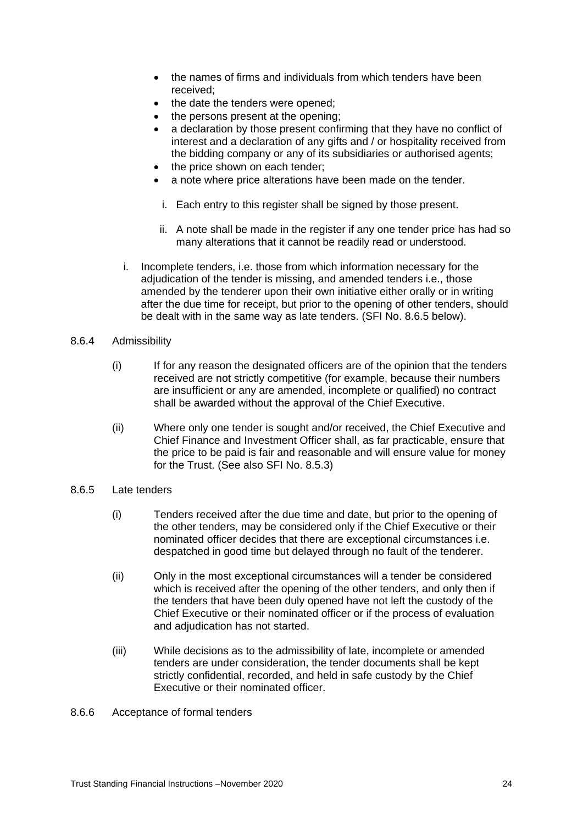- the names of firms and individuals from which tenders have been received;
- the date the tenders were opened;
- the persons present at the opening;
- a declaration by those present confirming that they have no conflict of interest and a declaration of any gifts and / or hospitality received from the bidding company or any of its subsidiaries or authorised agents;
- the price shown on each tender;
- a note where price alterations have been made on the tender.
- i. Each entry to this register shall be signed by those present.
- ii. A note shall be made in the register if any one tender price has had so many alterations that it cannot be readily read or understood.
- i. Incomplete tenders, i.e. those from which information necessary for the adjudication of the tender is missing, and amended tenders i.e., those amended by the tenderer upon their own initiative either orally or in writing after the due time for receipt, but prior to the opening of other tenders, should be dealt with in the same way as late tenders. (SFI No. 8.6.5 below).
- 8.6.4 Admissibility
	- (i) If for any reason the designated officers are of the opinion that the tenders received are not strictly competitive (for example, because their numbers are insufficient or any are amended, incomplete or qualified) no contract shall be awarded without the approval of the Chief Executive.
	- (ii) Where only one tender is sought and/or received, the Chief Executive and Chief Finance and Investment Officer shall, as far practicable, ensure that the price to be paid is fair and reasonable and will ensure value for money for the Trust. (See also SFI No. 8.5.3)
- 8.6.5 Late tenders
	- (i) Tenders received after the due time and date, but prior to the opening of the other tenders, may be considered only if the Chief Executive or their nominated officer decides that there are exceptional circumstances i.e. despatched in good time but delayed through no fault of the tenderer.
	- (ii) Only in the most exceptional circumstances will a tender be considered which is received after the opening of the other tenders, and only then if the tenders that have been duly opened have not left the custody of the Chief Executive or their nominated officer or if the process of evaluation and adjudication has not started.
	- (iii) While decisions as to the admissibility of late, incomplete or amended tenders are under consideration, the tender documents shall be kept strictly confidential, recorded, and held in safe custody by the Chief Executive or their nominated officer.
- 8.6.6 Acceptance of formal tenders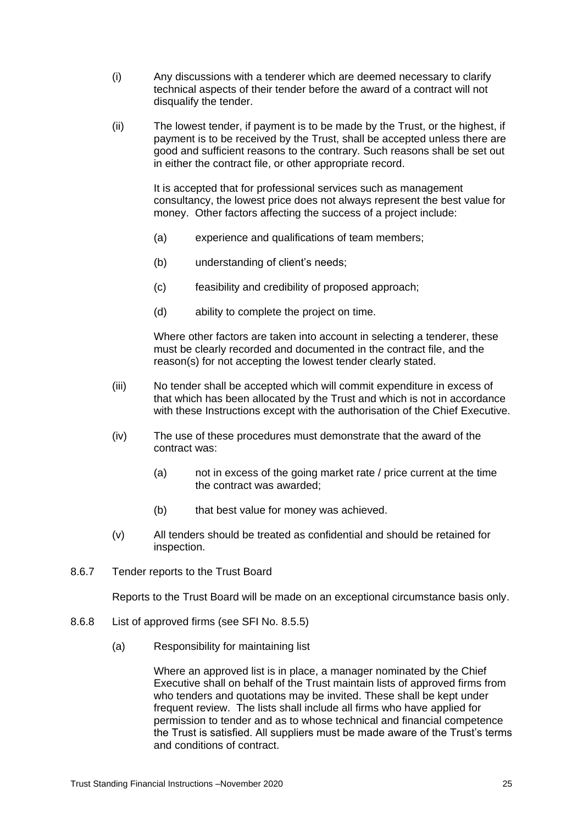- (i) Any discussions with a tenderer which are deemed necessary to clarify technical aspects of their tender before the award of a contract will not disqualify the tender.
- (ii) The lowest tender, if payment is to be made by the Trust, or the highest, if payment is to be received by the Trust, shall be accepted unless there are good and sufficient reasons to the contrary. Such reasons shall be set out in either the contract file, or other appropriate record.

It is accepted that for professional services such as management consultancy, the lowest price does not always represent the best value for money. Other factors affecting the success of a project include:

- (a) experience and qualifications of team members;
- (b) understanding of client's needs;
- (c) feasibility and credibility of proposed approach;
- (d) ability to complete the project on time.

Where other factors are taken into account in selecting a tenderer, these must be clearly recorded and documented in the contract file, and the reason(s) for not accepting the lowest tender clearly stated.

- (iii) No tender shall be accepted which will commit expenditure in excess of that which has been allocated by the Trust and which is not in accordance with these Instructions except with the authorisation of the Chief Executive.
- (iv) The use of these procedures must demonstrate that the award of the contract was:
	- (a) not in excess of the going market rate / price current at the time the contract was awarded;
	- (b) that best value for money was achieved.
- (v) All tenders should be treated as confidential and should be retained for inspection.
- 8.6.7 Tender reports to the Trust Board

Reports to the Trust Board will be made on an exceptional circumstance basis only.

- 8.6.8 List of approved firms (see SFI No. 8.5.5)
	- (a) Responsibility for maintaining list

Where an approved list is in place, a manager nominated by the Chief Executive shall on behalf of the Trust maintain lists of approved firms from who tenders and quotations may be invited. These shall be kept under frequent review. The lists shall include all firms who have applied for permission to tender and as to whose technical and financial competence the Trust is satisfied. All suppliers must be made aware of the Trust's terms and conditions of contract.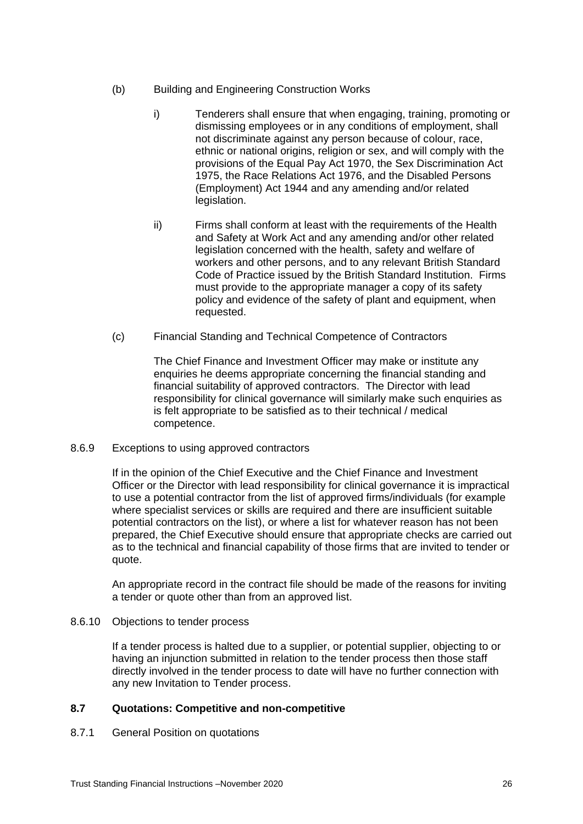- (b) Building and Engineering Construction Works
	- i) Tenderers shall ensure that when engaging, training, promoting or dismissing employees or in any conditions of employment, shall not discriminate against any person because of colour, race, ethnic or national origins, religion or sex, and will comply with the provisions of the Equal Pay Act 1970, the Sex Discrimination Act 1975, the Race Relations Act 1976, and the Disabled Persons (Employment) Act 1944 and any amending and/or related legislation.
	- ii) Firms shall conform at least with the requirements of the Health and Safety at Work Act and any amending and/or other related legislation concerned with the health, safety and welfare of workers and other persons, and to any relevant British Standard Code of Practice issued by the British Standard Institution. Firms must provide to the appropriate manager a copy of its safety policy and evidence of the safety of plant and equipment, when requested.
- (c) Financial Standing and Technical Competence of Contractors

The Chief Finance and Investment Officer may make or institute any enquiries he deems appropriate concerning the financial standing and financial suitability of approved contractors. The Director with lead responsibility for clinical governance will similarly make such enquiries as is felt appropriate to be satisfied as to their technical / medical competence.

8.6.9 Exceptions to using approved contractors

If in the opinion of the Chief Executive and the Chief Finance and Investment Officer or the Director with lead responsibility for clinical governance it is impractical to use a potential contractor from the list of approved firms/individuals (for example where specialist services or skills are required and there are insufficient suitable potential contractors on the list), or where a list for whatever reason has not been prepared, the Chief Executive should ensure that appropriate checks are carried out as to the technical and financial capability of those firms that are invited to tender or quote.

An appropriate record in the contract file should be made of the reasons for inviting a tender or quote other than from an approved list.

8.6.10 Objections to tender process

If a tender process is halted due to a supplier, or potential supplier, objecting to or having an injunction submitted in relation to the tender process then those staff directly involved in the tender process to date will have no further connection with any new Invitation to Tender process.

# <span id="page-25-0"></span>**8.7 Quotations: Competitive and non-competitive**

<span id="page-25-1"></span>8.7.1 General Position on quotations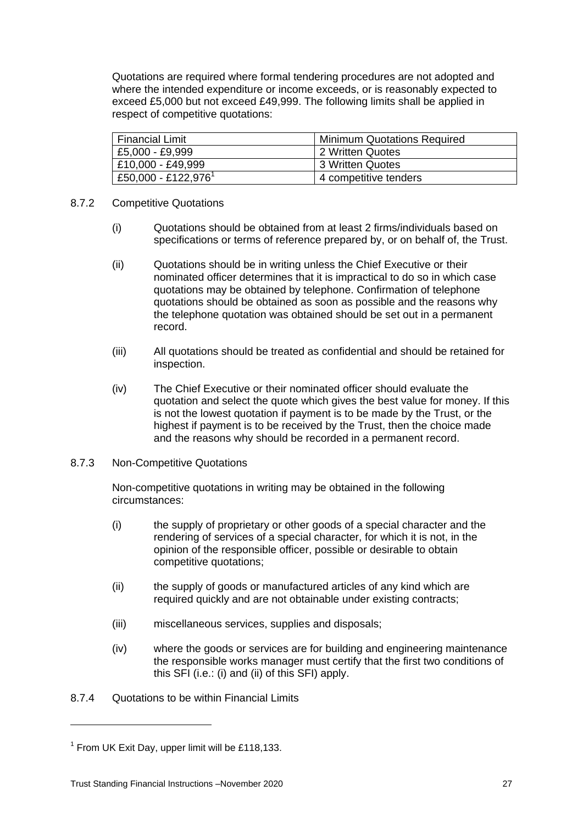Quotations are required where formal tendering procedures are not adopted and where the intended expenditure or income exceeds, or is reasonably expected to exceed £5,000 but not exceed £49,999. The following limits shall be applied in respect of competitive quotations:

| Financial Limit                 | Minimum Quotations Required |
|---------------------------------|-----------------------------|
| £5,000 - £9,999                 | 2 Written Quotes            |
| £10,000 - £49,999               | 13 Written Quotes           |
| £50,000 - £122,976 <sup>1</sup> | 4 competitive tenders       |

#### <span id="page-26-0"></span>8.7.2 Competitive Quotations

- (i) Quotations should be obtained from at least 2 firms/individuals based on specifications or terms of reference prepared by, or on behalf of, the Trust.
- (ii) Quotations should be in writing unless the Chief Executive or their nominated officer determines that it is impractical to do so in which case quotations may be obtained by telephone. Confirmation of telephone quotations should be obtained as soon as possible and the reasons why the telephone quotation was obtained should be set out in a permanent record.
- (iii) All quotations should be treated as confidential and should be retained for inspection.
- (iv) The Chief Executive or their nominated officer should evaluate the quotation and select the quote which gives the best value for money. If this is not the lowest quotation if payment is to be made by the Trust, or the highest if payment is to be received by the Trust, then the choice made and the reasons why should be recorded in a permanent record.

#### 8.7.3 Non-Competitive Quotations

Non-competitive quotations in writing may be obtained in the following circumstances:

- (i) the supply of proprietary or other goods of a special character and the rendering of services of a special character, for which it is not, in the opinion of the responsible officer, possible or desirable to obtain competitive quotations;
- (ii) the supply of goods or manufactured articles of any kind which are required quickly and are not obtainable under existing contracts;
- (iii) miscellaneous services, supplies and disposals;
- (iv) where the goods or services are for building and engineering maintenance the responsible works manager must certify that the first two conditions of this SFI (i.e.: (i) and (ii) of this SFI) apply.

# 8.7.4 Quotations to be within Financial Limits

1

 $1$  From UK Exit Day, upper limit will be £118,133.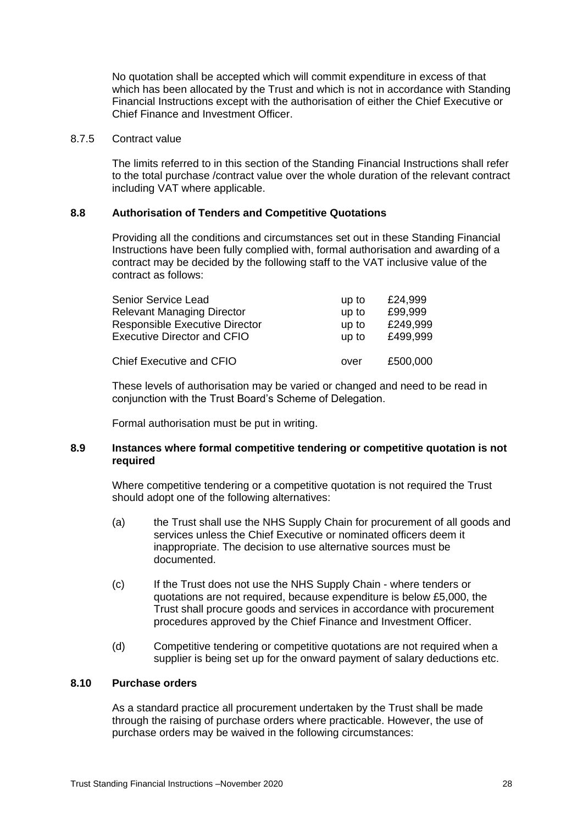No quotation shall be accepted which will commit expenditure in excess of that which has been allocated by the Trust and which is not in accordance with Standing Financial Instructions except with the authorisation of either the Chief Executive or Chief Finance and Investment Officer.

#### 8.7.5 Contract value

The limits referred to in this section of the Standing Financial Instructions shall refer to the total purchase /contract value over the whole duration of the relevant contract including VAT where applicable.

#### <span id="page-27-0"></span>**8.8 Authorisation of Tenders and Competitive Quotations**

Providing all the conditions and circumstances set out in these Standing Financial Instructions have been fully complied with, formal authorisation and awarding of a contract may be decided by the following staff to the VAT inclusive value of the contract as follows:

| Senior Service Lead                   | up to | £24,999  |
|---------------------------------------|-------|----------|
| <b>Relevant Managing Director</b>     | up to | £99,999  |
| <b>Responsible Executive Director</b> | up to | £249,999 |
| <b>Executive Director and CFIO</b>    | up to | £499.999 |
| <b>Chief Executive and CFIO</b>       | over  | £500,000 |

These levels of authorisation may be varied or changed and need to be read in conjunction with the Trust Board's Scheme of Delegation.

Formal authorisation must be put in writing.

#### <span id="page-27-1"></span>**8.9 Instances where formal competitive tendering or competitive quotation is not required**

Where competitive tendering or a competitive quotation is not required the Trust should adopt one of the following alternatives:

- (a) the Trust shall use the NHS Supply Chain for procurement of all goods and services unless the Chief Executive or nominated officers deem it inappropriate. The decision to use alternative sources must be documented.
- (c) If the Trust does not use the NHS Supply Chain where tenders or quotations are not required, because expenditure is below £5,000, the Trust shall procure goods and services in accordance with procurement procedures approved by the Chief Finance and Investment Officer.
- (d) Competitive tendering or competitive quotations are not required when a supplier is being set up for the onward payment of salary deductions etc.

# <span id="page-27-2"></span>**8.10 Purchase orders**

As a standard practice all procurement undertaken by the Trust shall be made through the raising of purchase orders where practicable. However, the use of purchase orders may be waived in the following circumstances: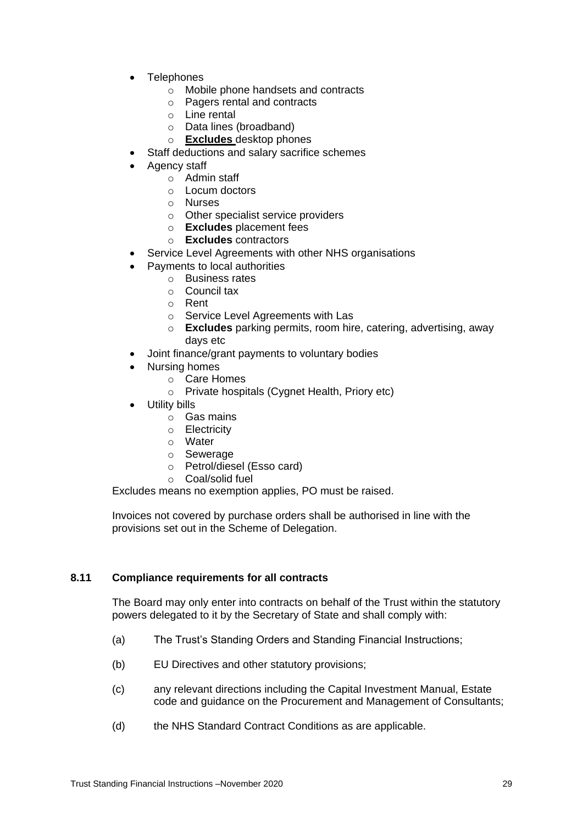- **Telephones** 
	- o Mobile phone handsets and contracts
	- o Pagers rental and contracts
	- o Line rental
	- o Data lines (broadband)
	- o **Excludes** desktop phones
	- Staff deductions and salary sacrifice schemes
- Agency staff
	- o Admin staff
	- o Locum doctors
	- o Nurses
	- o Other specialist service providers
	- o **Excludes** placement fees
	- o **Excludes** contractors
	- Service Level Agreements with other NHS organisations
- Payments to local authorities
	- o Business rates
	- o Council tax
	- o Rent
	- o Service Level Agreements with Las
	- o **Excludes** parking permits, room hire, catering, advertising, away days etc
- Joint finance/grant payments to voluntary bodies
	- Nursing homes
		- o Care Homes
		- o Private hospitals (Cygnet Health, Priory etc)
- Utility bills
	- o Gas mains
	- o Electricity
	- o Water
	- o Sewerage
	- o Petrol/diesel (Esso card)
	- o Coal/solid fuel

Excludes means no exemption applies, PO must be raised.

Invoices not covered by purchase orders shall be authorised in line with the provisions set out in the Scheme of Delegation.

# <span id="page-28-0"></span>**8.11 Compliance requirements for all contracts**

The Board may only enter into contracts on behalf of the Trust within the statutory powers delegated to it by the Secretary of State and shall comply with:

- (a) The Trust's Standing Orders and Standing Financial Instructions;
- (b) EU Directives and other statutory provisions;
- (c) any relevant directions including the Capital Investment Manual, Estate code and guidance on the Procurement and Management of Consultants;
- (d) the NHS Standard Contract Conditions as are applicable.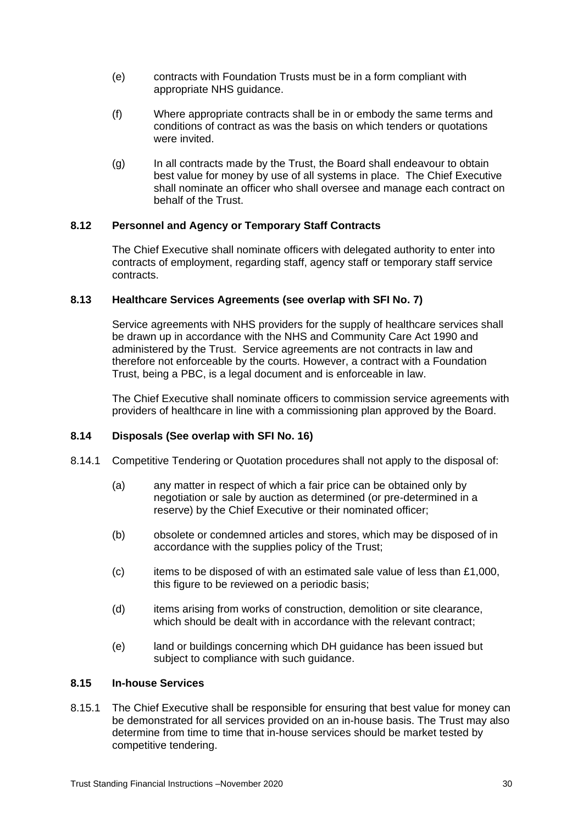- (e) contracts with Foundation Trusts must be in a form compliant with appropriate NHS guidance.
- (f) Where appropriate contracts shall be in or embody the same terms and conditions of contract as was the basis on which tenders or quotations were invited.
- (g) In all contracts made by the Trust, the Board shall endeavour to obtain best value for money by use of all systems in place. The Chief Executive shall nominate an officer who shall oversee and manage each contract on behalf of the Trust.

# <span id="page-29-0"></span>**8.12 Personnel and Agency or Temporary Staff Contracts**

The Chief Executive shall nominate officers with delegated authority to enter into contracts of employment, regarding staff, agency staff or temporary staff service contracts.

# <span id="page-29-1"></span>**8.13 Healthcare Services Agreements (see overlap with SFI No. 7)**

Service agreements with NHS providers for the supply of healthcare services shall be drawn up in accordance with the NHS and Community Care Act 1990 and administered by the Trust. Service agreements are not contracts in law and therefore not enforceable by the courts. However, a contract with a Foundation Trust, being a PBC, is a legal document and is enforceable in law.

The Chief Executive shall nominate officers to commission service agreements with providers of healthcare in line with a commissioning plan approved by the Board.

# <span id="page-29-2"></span>**8.14 Disposals (See overlap with SFI No. 16)**

- 8.14.1 Competitive Tendering or Quotation procedures shall not apply to the disposal of:
	- (a) any matter in respect of which a fair price can be obtained only by negotiation or sale by auction as determined (or pre-determined in a reserve) by the Chief Executive or their nominated officer;
	- (b) obsolete or condemned articles and stores, which may be disposed of in accordance with the supplies policy of the Trust;
	- (c) items to be disposed of with an estimated sale value of less than £1,000, this figure to be reviewed on a periodic basis;
	- (d) items arising from works of construction, demolition or site clearance, which should be dealt with in accordance with the relevant contract;
	- (e) land or buildings concerning which DH guidance has been issued but subject to compliance with such guidance.

# <span id="page-29-3"></span>**8.15 In-house Services**

8.15.1 The Chief Executive shall be responsible for ensuring that best value for money can be demonstrated for all services provided on an in-house basis. The Trust may also determine from time to time that in-house services should be market tested by competitive tendering.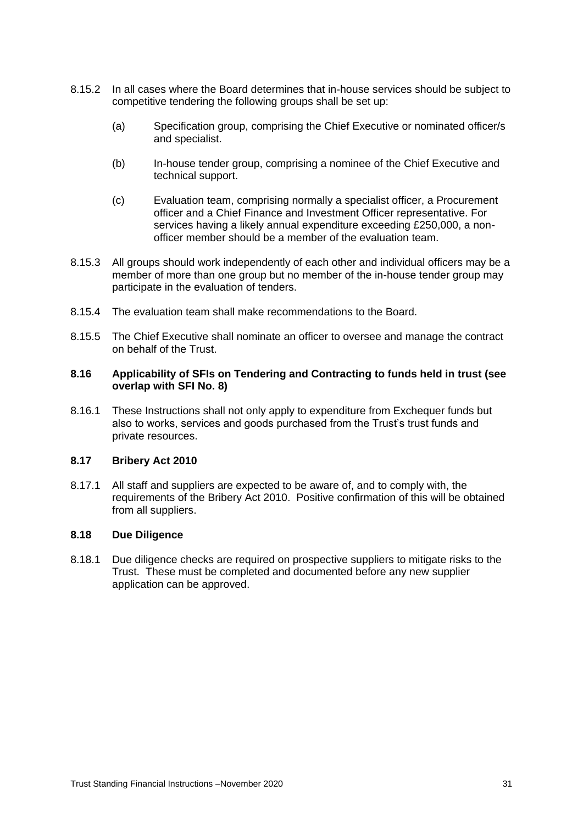- 8.15.2 In all cases where the Board determines that in-house services should be subject to competitive tendering the following groups shall be set up:
	- (a) Specification group, comprising the Chief Executive or nominated officer/s and specialist.
	- (b) In-house tender group, comprising a nominee of the Chief Executive and technical support.
	- (c) Evaluation team, comprising normally a specialist officer, a Procurement officer and a Chief Finance and Investment Officer representative. For services having a likely annual expenditure exceeding £250,000, a nonofficer member should be a member of the evaluation team.
- 8.15.3 All groups should work independently of each other and individual officers may be a member of more than one group but no member of the in-house tender group may participate in the evaluation of tenders.
- 8.15.4 The evaluation team shall make recommendations to the Board.
- 8.15.5 The Chief Executive shall nominate an officer to oversee and manage the contract on behalf of the Trust.

#### <span id="page-30-0"></span>**8.16 Applicability of SFIs on Tendering and Contracting to funds held in trust (see overlap with SFI No. 8)**

8.16.1 These Instructions shall not only apply to expenditure from Exchequer funds but also to works, services and goods purchased from the Trust's trust funds and private resources.

#### <span id="page-30-1"></span>**8.17 Bribery Act 2010**

8.17.1 All staff and suppliers are expected to be aware of, and to comply with, the requirements of the Bribery Act 2010. Positive confirmation of this will be obtained from all suppliers.

# <span id="page-30-2"></span>**8.18 Due Diligence**

8.18.1 Due diligence checks are required on prospective suppliers to mitigate risks to the Trust. These must be completed and documented before any new supplier application can be approved.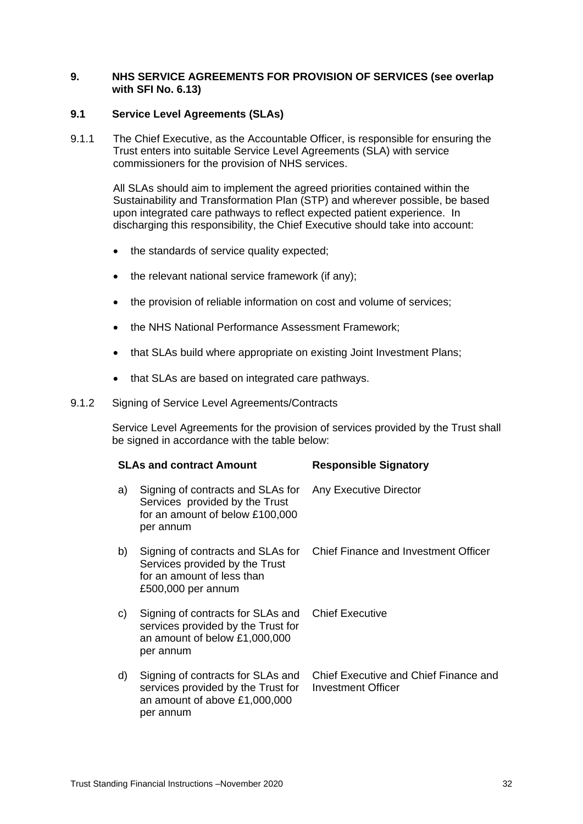#### <span id="page-31-0"></span>**9. NHS SERVICE AGREEMENTS FOR PROVISION OF SERVICES (see overlap with SFI No. 6.13)**

#### <span id="page-31-1"></span>**9.1 Service Level Agreements (SLAs)**

9.1.1 The Chief Executive, as the Accountable Officer, is responsible for ensuring the Trust enters into suitable Service Level Agreements (SLA) with service commissioners for the provision of NHS services.

> All SLAs should aim to implement the agreed priorities contained within the Sustainability and Transformation Plan (STP) and wherever possible, be based upon integrated care pathways to reflect expected patient experience. In discharging this responsibility, the Chief Executive should take into account:

- the standards of service quality expected;
- the relevant national service framework (if any);
- the provision of reliable information on cost and volume of services;
- the NHS National Performance Assessment Framework;
- that SLAs build where appropriate on existing Joint Investment Plans;
- that SLAs are based on integrated care pathways.
- 9.1.2 Signing of Service Level Agreements/Contracts

Service Level Agreements for the provision of services provided by the Trust shall be signed in accordance with the table below:

|    | <b>SLAs and contract Amount</b>                                                                                         | <b>Responsible Signatory</b>                                |
|----|-------------------------------------------------------------------------------------------------------------------------|-------------------------------------------------------------|
| a) | Signing of contracts and SLAs for<br>Services provided by the Trust<br>for an amount of below £100,000<br>per annum     | Any Executive Director                                      |
| b) | Signing of contracts and SLAs for<br>Services provided by the Trust<br>for an amount of less than<br>£500,000 per annum | Chief Finance and Investment Officer                        |
| C) | Signing of contracts for SLAs and<br>services provided by the Trust for<br>an amount of below £1,000,000<br>per annum   | <b>Chief Executive</b>                                      |
| d) | Signing of contracts for SLAs and<br>services provided by the Trust for<br>an amount of above £1,000,000<br>per annum   | Chief Executive and Chief Finance and<br>Investment Officer |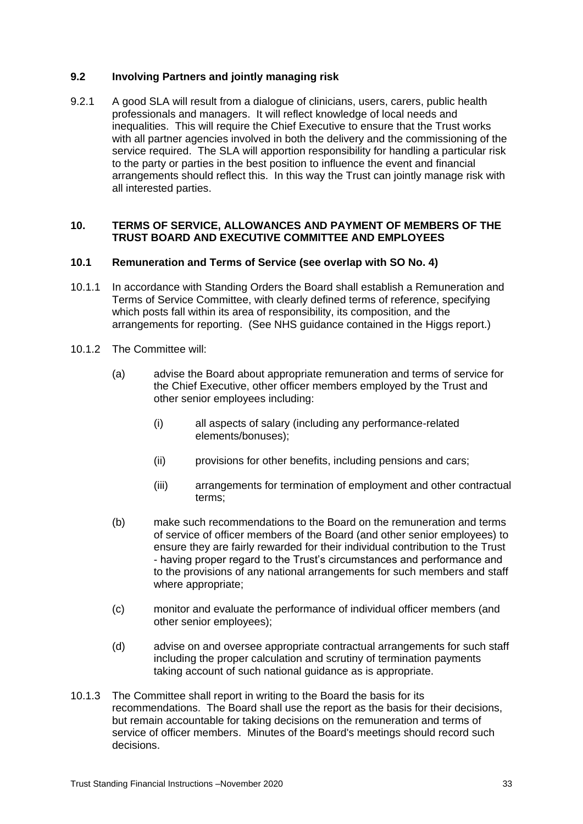#### <span id="page-32-0"></span>**9.2 Involving Partners and jointly managing risk**

9.2.1 A good SLA will result from a dialogue of clinicians, users, carers, public health professionals and managers. It will reflect knowledge of local needs and inequalities. This will require the Chief Executive to ensure that the Trust works with all partner agencies involved in both the delivery and the commissioning of the service required. The SLA will apportion responsibility for handling a particular risk to the party or parties in the best position to influence the event and financial arrangements should reflect this. In this way the Trust can jointly manage risk with all interested parties.

#### <span id="page-32-1"></span>**10. TERMS OF SERVICE, ALLOWANCES AND PAYMENT OF MEMBERS OF THE TRUST BOARD AND EXECUTIVE COMMITTEE AND EMPLOYEES**

#### <span id="page-32-2"></span>**10.1 Remuneration and Terms of Service (see overlap with SO No. 4)**

- 10.1.1 In accordance with Standing Orders the Board shall establish a Remuneration and Terms of Service Committee, with clearly defined terms of reference, specifying which posts fall within its area of responsibility, its composition, and the arrangements for reporting. (See NHS guidance contained in the Higgs report.)
- 10.1.2 The Committee will:
	- (a) advise the Board about appropriate remuneration and terms of service for the Chief Executive, other officer members employed by the Trust and other senior employees including:
		- (i) all aspects of salary (including any performance-related elements/bonuses);
		- (ii) provisions for other benefits, including pensions and cars;
		- (iii) arrangements for termination of employment and other contractual terms;
	- (b) make such recommendations to the Board on the remuneration and terms of service of officer members of the Board (and other senior employees) to ensure they are fairly rewarded for their individual contribution to the Trust - having proper regard to the Trust's circumstances and performance and to the provisions of any national arrangements for such members and staff where appropriate;
	- (c) monitor and evaluate the performance of individual officer members (and other senior employees);
	- (d) advise on and oversee appropriate contractual arrangements for such staff including the proper calculation and scrutiny of termination payments taking account of such national guidance as is appropriate.
- 10.1.3 The Committee shall report in writing to the Board the basis for its recommendations. The Board shall use the report as the basis for their decisions, but remain accountable for taking decisions on the remuneration and terms of service of officer members. Minutes of the Board's meetings should record such decisions.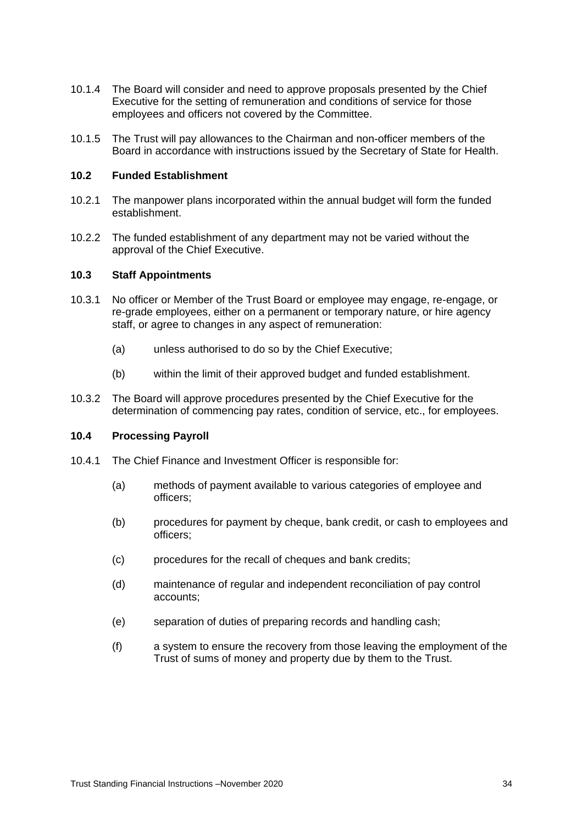- 10.1.4 The Board will consider and need to approve proposals presented by the Chief Executive for the setting of remuneration and conditions of service for those employees and officers not covered by the Committee.
- 10.1.5 The Trust will pay allowances to the Chairman and non-officer members of the Board in accordance with instructions issued by the Secretary of State for Health.

#### <span id="page-33-0"></span>**10.2 Funded Establishment**

- 10.2.1 The manpower plans incorporated within the annual budget will form the funded establishment.
- 10.2.2 The funded establishment of any department may not be varied without the approval of the Chief Executive.

#### <span id="page-33-1"></span>**10.3 Staff Appointments**

- 10.3.1 No officer or Member of the Trust Board or employee may engage, re-engage, or re-grade employees, either on a permanent or temporary nature, or hire agency staff, or agree to changes in any aspect of remuneration:
	- (a) unless authorised to do so by the Chief Executive;
	- (b) within the limit of their approved budget and funded establishment.
- 10.3.2 The Board will approve procedures presented by the Chief Executive for the determination of commencing pay rates, condition of service, etc., for employees.

# <span id="page-33-2"></span>**10.4 Processing Payroll**

- 10.4.1 The Chief Finance and Investment Officer is responsible for:
	- (a) methods of payment available to various categories of employee and officers;
	- (b) procedures for payment by cheque, bank credit, or cash to employees and officers;
	- (c) procedures for the recall of cheques and bank credits;
	- (d) maintenance of regular and independent reconciliation of pay control accounts;
	- (e) separation of duties of preparing records and handling cash;
	- (f) a system to ensure the recovery from those leaving the employment of the Trust of sums of money and property due by them to the Trust.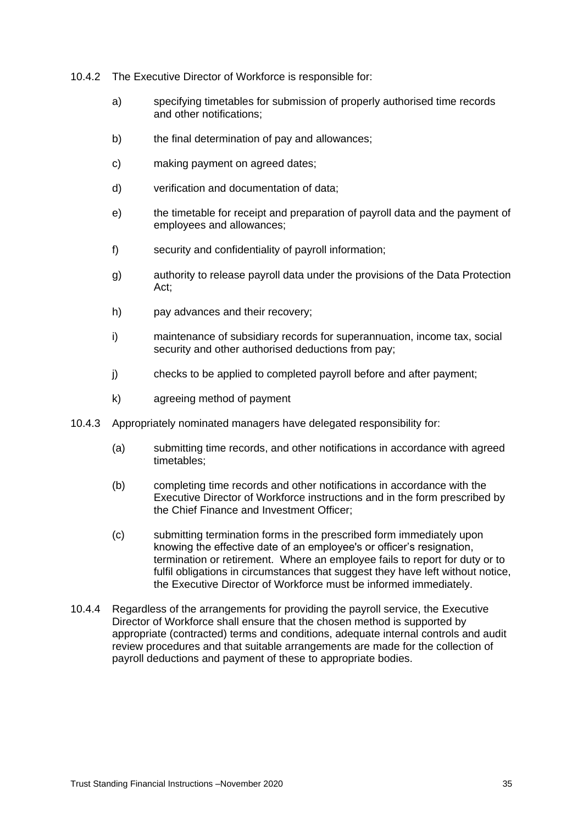- 10.4.2 The Executive Director of Workforce is responsible for:
	- a) specifying timetables for submission of properly authorised time records and other notifications;
	- b) the final determination of pay and allowances;
	- c) making payment on agreed dates;
	- d) verification and documentation of data;
	- e) the timetable for receipt and preparation of payroll data and the payment of employees and allowances;
	- f) security and confidentiality of payroll information;
	- g) authority to release payroll data under the provisions of the Data Protection Act;
	- h) pay advances and their recovery;
	- i) maintenance of subsidiary records for superannuation, income tax, social security and other authorised deductions from pay;
	- j) checks to be applied to completed payroll before and after payment;
	- k) agreeing method of payment
- 10.4.3 Appropriately nominated managers have delegated responsibility for:
	- (a) submitting time records, and other notifications in accordance with agreed timetables;
	- (b) completing time records and other notifications in accordance with the Executive Director of Workforce instructions and in the form prescribed by the Chief Finance and Investment Officer;
	- (c) submitting termination forms in the prescribed form immediately upon knowing the effective date of an employee's or officer's resignation, termination or retirement. Where an employee fails to report for duty or to fulfil obligations in circumstances that suggest they have left without notice, the Executive Director of Workforce must be informed immediately.
- 10.4.4 Regardless of the arrangements for providing the payroll service, the Executive Director of Workforce shall ensure that the chosen method is supported by appropriate (contracted) terms and conditions, adequate internal controls and audit review procedures and that suitable arrangements are made for the collection of payroll deductions and payment of these to appropriate bodies.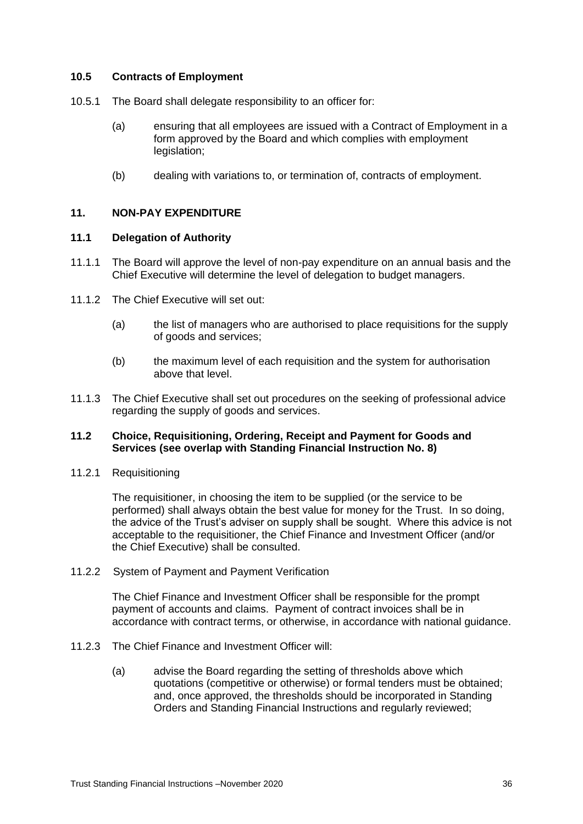#### **10.5 Contracts of Employment**

- 10.5.1 The Board shall delegate responsibility to an officer for:
	- (a) ensuring that all employees are issued with a Contract of Employment in a form approved by the Board and which complies with employment legislation;
	- (b) dealing with variations to, or termination of, contracts of employment.

#### <span id="page-35-0"></span>**11. NON-PAY EXPENDITURE**

#### <span id="page-35-1"></span>**11.1 Delegation of Authority**

- 11.1.1 The Board will approve the level of non-pay expenditure on an annual basis and the Chief Executive will determine the level of delegation to budget managers.
- 11.1.2 The Chief Executive will set out:
	- (a) the list of managers who are authorised to place requisitions for the supply of goods and services;
	- (b) the maximum level of each requisition and the system for authorisation above that level.
- 11.1.3 The Chief Executive shall set out procedures on the seeking of professional advice regarding the supply of goods and services.

#### <span id="page-35-2"></span>**11.2 Choice, Requisitioning, Ordering, Receipt and Payment for Goods and Services (see overlap with Standing Financial Instruction No. 8)**

11.2.1 Requisitioning

The requisitioner, in choosing the item to be supplied (or the service to be performed) shall always obtain the best value for money for the Trust. In so doing, the advice of the Trust's adviser on supply shall be sought. Where this advice is not acceptable to the requisitioner, the Chief Finance and Investment Officer (and/or the Chief Executive) shall be consulted.

11.2.2 System of Payment and Payment Verification

The Chief Finance and Investment Officer shall be responsible for the prompt payment of accounts and claims. Payment of contract invoices shall be in accordance with contract terms, or otherwise, in accordance with national guidance.

- 11.2.3 The Chief Finance and Investment Officer will:
	- (a) advise the Board regarding the setting of thresholds above which quotations (competitive or otherwise) or formal tenders must be obtained; and, once approved, the thresholds should be incorporated in Standing Orders and Standing Financial Instructions and regularly reviewed;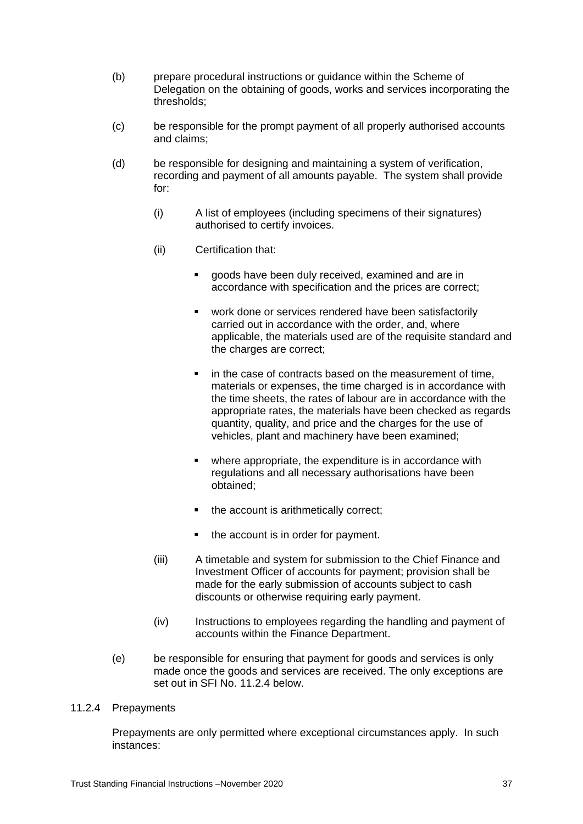- (b) prepare procedural instructions or guidance within the Scheme of Delegation on the obtaining of goods, works and services incorporating the thresholds;
- (c) be responsible for the prompt payment of all properly authorised accounts and claims;
- (d) be responsible for designing and maintaining a system of verification, recording and payment of all amounts payable. The system shall provide for:
	- (i) A list of employees (including specimens of their signatures) authorised to certify invoices.
	- (ii) Certification that:
		- goods have been duly received, examined and are in accordance with specification and the prices are correct;
		- work done or services rendered have been satisfactorily carried out in accordance with the order, and, where applicable, the materials used are of the requisite standard and the charges are correct;
		- in the case of contracts based on the measurement of time, materials or expenses, the time charged is in accordance with the time sheets, the rates of labour are in accordance with the appropriate rates, the materials have been checked as regards quantity, quality, and price and the charges for the use of vehicles, plant and machinery have been examined;
		- where appropriate, the expenditure is in accordance with regulations and all necessary authorisations have been obtained;
		- the account is arithmetically correct;
		- the account is in order for payment.
	- (iii) A timetable and system for submission to the Chief Finance and Investment Officer of accounts for payment; provision shall be made for the early submission of accounts subject to cash discounts or otherwise requiring early payment.
	- (iv) Instructions to employees regarding the handling and payment of accounts within the Finance Department.
- (e) be responsible for ensuring that payment for goods and services is only made once the goods and services are received. The only exceptions are set out in SFI No. 11.2.4 below.

#### 11.2.4 Prepayments

Prepayments are only permitted where exceptional circumstances apply. In such instances: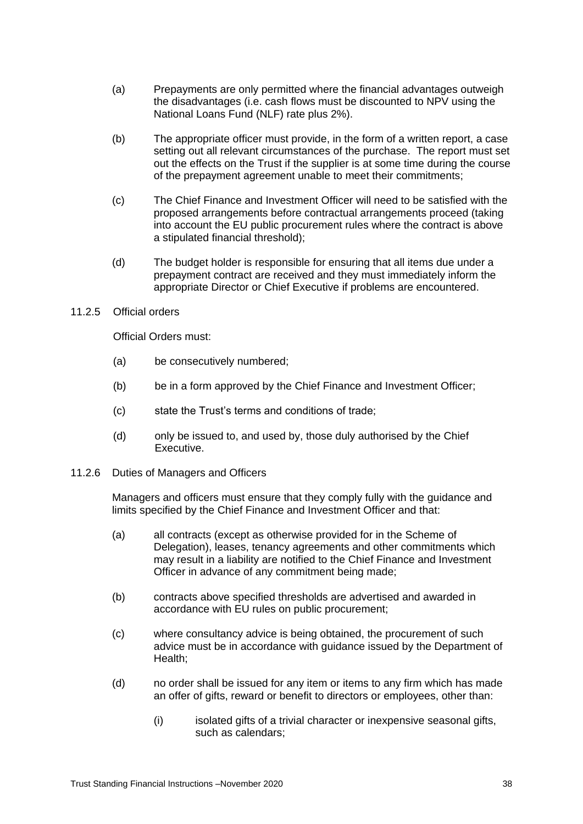- (a) Prepayments are only permitted where the financial advantages outweigh the disadvantages (i.e. cash flows must be discounted to NPV using the National Loans Fund (NLF) rate plus 2%).
- (b) The appropriate officer must provide, in the form of a written report, a case setting out all relevant circumstances of the purchase. The report must set out the effects on the Trust if the supplier is at some time during the course of the prepayment agreement unable to meet their commitments;
- (c) The Chief Finance and Investment Officer will need to be satisfied with the proposed arrangements before contractual arrangements proceed (taking into account the EU public procurement rules where the contract is above a stipulated financial threshold);
- (d) The budget holder is responsible for ensuring that all items due under a prepayment contract are received and they must immediately inform the appropriate Director or Chief Executive if problems are encountered.
- 11.2.5 Official orders

Official Orders must:

- (a) be consecutively numbered;
- (b) be in a form approved by the Chief Finance and Investment Officer;
- (c) state the Trust's terms and conditions of trade;
- (d) only be issued to, and used by, those duly authorised by the Chief Executive.
- 11.2.6 Duties of Managers and Officers

Managers and officers must ensure that they comply fully with the guidance and limits specified by the Chief Finance and Investment Officer and that:

- (a) all contracts (except as otherwise provided for in the Scheme of Delegation), leases, tenancy agreements and other commitments which may result in a liability are notified to the Chief Finance and Investment Officer in advance of any commitment being made;
- (b) contracts above specified thresholds are advertised and awarded in accordance with EU rules on public procurement;
- (c) where consultancy advice is being obtained, the procurement of such advice must be in accordance with guidance issued by the Department of Health;
- (d) no order shall be issued for any item or items to any firm which has made an offer of gifts, reward or benefit to directors or employees, other than:
	- (i) isolated gifts of a trivial character or inexpensive seasonal gifts, such as calendars;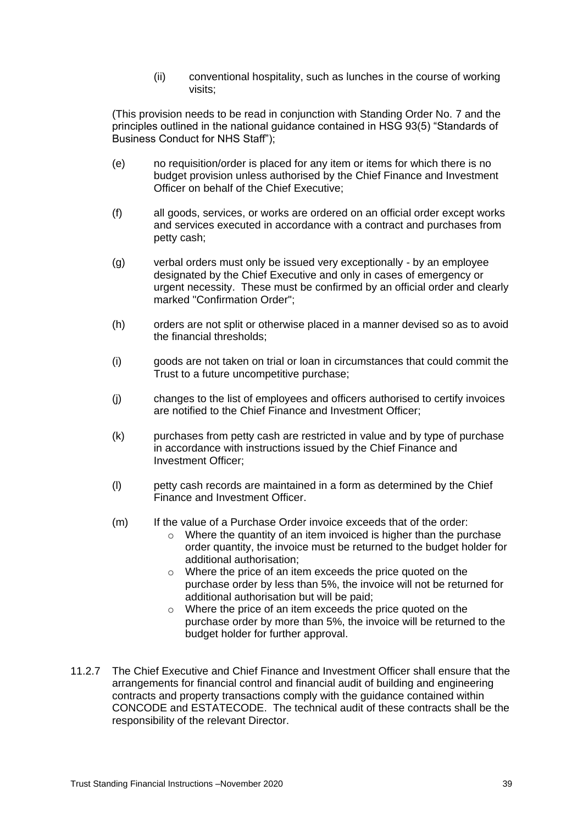(ii) conventional hospitality, such as lunches in the course of working visits;

(This provision needs to be read in conjunction with Standing Order No. 7 and the principles outlined in the national guidance contained in HSG 93(5) "Standards of Business Conduct for NHS Staff");

- (e) no requisition/order is placed for any item or items for which there is no budget provision unless authorised by the Chief Finance and Investment Officer on behalf of the Chief Executive;
- (f) all goods, services, or works are ordered on an official order except works and services executed in accordance with a contract and purchases from petty cash;
- (g) verbal orders must only be issued very exceptionally by an employee designated by the Chief Executive and only in cases of emergency or urgent necessity. These must be confirmed by an official order and clearly marked "Confirmation Order";
- (h) orders are not split or otherwise placed in a manner devised so as to avoid the financial thresholds;
- (i) goods are not taken on trial or loan in circumstances that could commit the Trust to a future uncompetitive purchase;
- (j) changes to the list of employees and officers authorised to certify invoices are notified to the Chief Finance and Investment Officer;
- (k) purchases from petty cash are restricted in value and by type of purchase in accordance with instructions issued by the Chief Finance and Investment Officer;
- (l) petty cash records are maintained in a form as determined by the Chief Finance and Investment Officer.
- (m) If the value of a Purchase Order invoice exceeds that of the order:
	- o Where the quantity of an item invoiced is higher than the purchase order quantity, the invoice must be returned to the budget holder for additional authorisation;
	- o Where the price of an item exceeds the price quoted on the purchase order by less than 5%, the invoice will not be returned for additional authorisation but will be paid;
	- o Where the price of an item exceeds the price quoted on the purchase order by more than 5%, the invoice will be returned to the budget holder for further approval.
- 11.2.7 The Chief Executive and Chief Finance and Investment Officer shall ensure that the arrangements for financial control and financial audit of building and engineering contracts and property transactions comply with the guidance contained within CONCODE and ESTATECODE. The technical audit of these contracts shall be the responsibility of the relevant Director.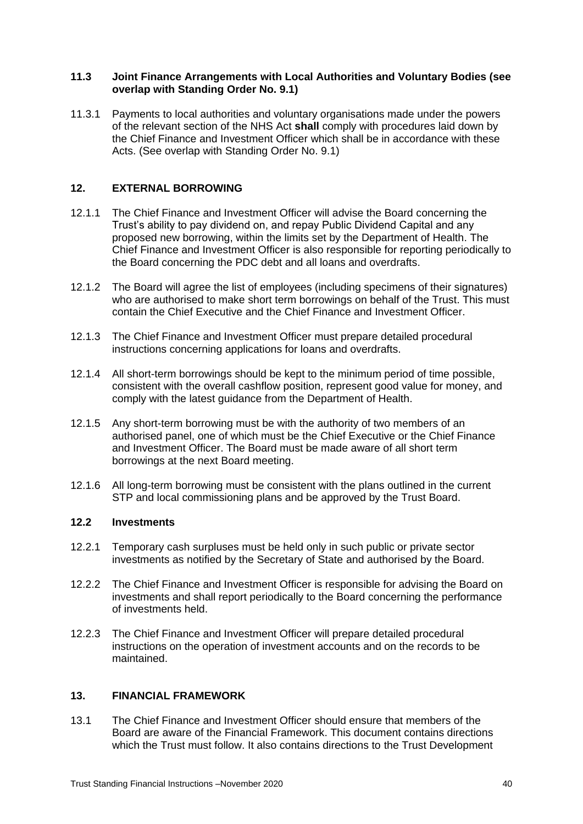#### <span id="page-39-0"></span>**11.3 Joint Finance Arrangements with Local Authorities and Voluntary Bodies (see overlap with Standing Order No. 9.1)**

11.3.1 Payments to local authorities and voluntary organisations made under the powers of the relevant section of the NHS Act **shall** comply with procedures laid down by the Chief Finance and Investment Officer which shall be in accordance with these Acts. (See overlap with Standing Order No. 9.1)

#### <span id="page-39-1"></span>**12. EXTERNAL BORROWING**

- 12.1.1 The Chief Finance and Investment Officer will advise the Board concerning the Trust's ability to pay dividend on, and repay Public Dividend Capital and any proposed new borrowing, within the limits set by the Department of Health. The Chief Finance and Investment Officer is also responsible for reporting periodically to the Board concerning the PDC debt and all loans and overdrafts.
- 12.1.2 The Board will agree the list of employees (including specimens of their signatures) who are authorised to make short term borrowings on behalf of the Trust. This must contain the Chief Executive and the Chief Finance and Investment Officer.
- 12.1.3 The Chief Finance and Investment Officer must prepare detailed procedural instructions concerning applications for loans and overdrafts.
- 12.1.4 All short-term borrowings should be kept to the minimum period of time possible, consistent with the overall cashflow position, represent good value for money, and comply with the latest guidance from the Department of Health.
- 12.1.5 Any short-term borrowing must be with the authority of two members of an authorised panel, one of which must be the Chief Executive or the Chief Finance and Investment Officer. The Board must be made aware of all short term borrowings at the next Board meeting.
- 12.1.6 All long-term borrowing must be consistent with the plans outlined in the current STP and local commissioning plans and be approved by the Trust Board.

#### <span id="page-39-2"></span>**12.2 Investments**

- 12.2.1 Temporary cash surpluses must be held only in such public or private sector investments as notified by the Secretary of State and authorised by the Board.
- 12.2.2 The Chief Finance and Investment Officer is responsible for advising the Board on investments and shall report periodically to the Board concerning the performance of investments held.
- 12.2.3 The Chief Finance and Investment Officer will prepare detailed procedural instructions on the operation of investment accounts and on the records to be maintained.

#### <span id="page-39-3"></span>**13. FINANCIAL FRAMEWORK**

13.1 The Chief Finance and Investment Officer should ensure that members of the Board are aware of the Financial Framework. This document contains directions which the Trust must follow. It also contains directions to the Trust Development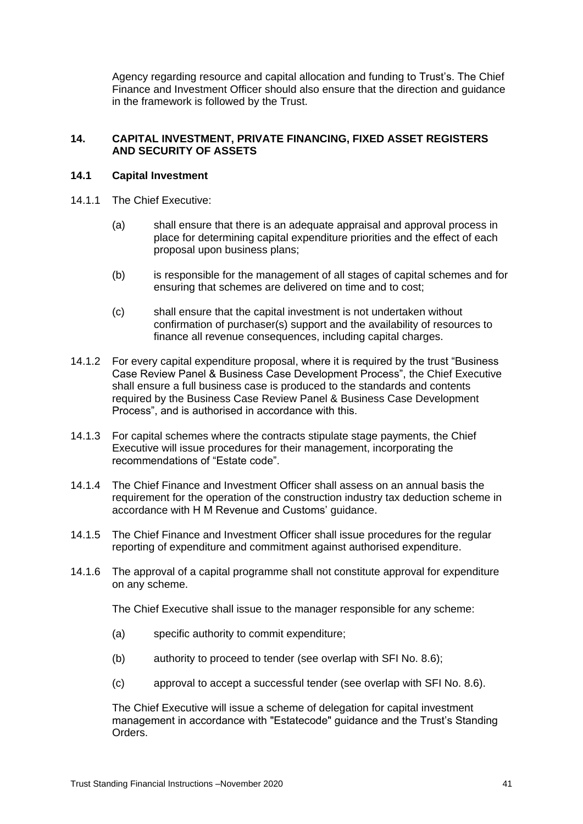Agency regarding resource and capital allocation and funding to Trust's. The Chief Finance and Investment Officer should also ensure that the direction and guidance in the framework is followed by the Trust.

#### <span id="page-40-0"></span>**14. CAPITAL INVESTMENT, PRIVATE FINANCING, FIXED ASSET REGISTERS AND SECURITY OF ASSETS**

#### <span id="page-40-1"></span>**14.1 Capital Investment**

- 14.1.1 The Chief Executive:
	- (a) shall ensure that there is an adequate appraisal and approval process in place for determining capital expenditure priorities and the effect of each proposal upon business plans;
	- (b) is responsible for the management of all stages of capital schemes and for ensuring that schemes are delivered on time and to cost;
	- (c) shall ensure that the capital investment is not undertaken without confirmation of purchaser(s) support and the availability of resources to finance all revenue consequences, including capital charges.
- 14.1.2 For every capital expenditure proposal, where it is required by the trust "Business Case Review Panel & Business Case Development Process", the Chief Executive shall ensure a full business case is produced to the standards and contents required by the Business Case Review Panel & Business Case Development Process", and is authorised in accordance with this.
- 14.1.3 For capital schemes where the contracts stipulate stage payments, the Chief Executive will issue procedures for their management, incorporating the recommendations of "Estate code".
- 14.1.4 The Chief Finance and Investment Officer shall assess on an annual basis the requirement for the operation of the construction industry tax deduction scheme in accordance with H M Revenue and Customs' guidance.
- 14.1.5 The Chief Finance and Investment Officer shall issue procedures for the regular reporting of expenditure and commitment against authorised expenditure.
- 14.1.6 The approval of a capital programme shall not constitute approval for expenditure on any scheme.

The Chief Executive shall issue to the manager responsible for any scheme:

- (a) specific authority to commit expenditure;
- (b) authority to proceed to tender (see overlap with SFI No. 8.6);
- (c) approval to accept a successful tender (see overlap with SFI No. 8.6).

The Chief Executive will issue a scheme of delegation for capital investment management in accordance with "Estatecode" guidance and the Trust's Standing Orders.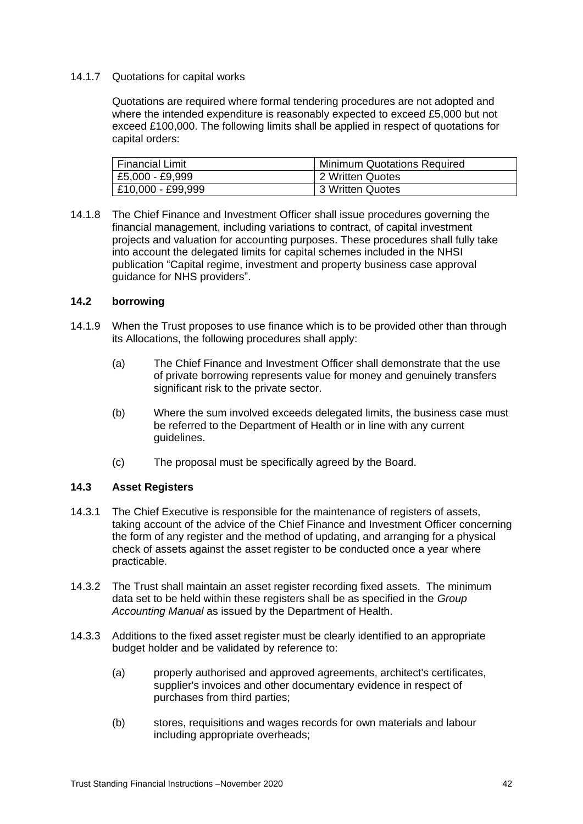#### 14.1.7 Quotations for capital works

Quotations are required where formal tendering procedures are not adopted and where the intended expenditure is reasonably expected to exceed £5,000 but not exceed £100,000. The following limits shall be applied in respect of quotations for capital orders:

| <b>Financial Limit</b> | <b>Minimum Quotations Required</b> |
|------------------------|------------------------------------|
| £5,000 - £9,999        | 2 Written Quotes                   |
| £10,000 - £99,999      | 3 Written Quotes                   |

14.1.8 The Chief Finance and Investment Officer shall issue procedures governing the financial management, including variations to contract, of capital investment projects and valuation for accounting purposes. These procedures shall fully take into account the delegated limits for capital schemes included in the NHSI publication "Capital regime, investment and property business case approval guidance for NHS providers".

#### <span id="page-41-0"></span>**14.2 borrowing**

- 14.1.9 When the Trust proposes to use finance which is to be provided other than through its Allocations, the following procedures shall apply:
	- (a) The Chief Finance and Investment Officer shall demonstrate that the use of private borrowing represents value for money and genuinely transfers significant risk to the private sector.
	- (b) Where the sum involved exceeds delegated limits, the business case must be referred to the Department of Health or in line with any current guidelines.
	- (c) The proposal must be specifically agreed by the Board.

# <span id="page-41-1"></span>**14.3 Asset Registers**

- 14.3.1 The Chief Executive is responsible for the maintenance of registers of assets, taking account of the advice of the Chief Finance and Investment Officer concerning the form of any register and the method of updating, and arranging for a physical check of assets against the asset register to be conducted once a year where practicable.
- 14.3.2 The Trust shall maintain an asset register recording fixed assets. The minimum data set to be held within these registers shall be as specified in the *Group Accounting Manual* as issued by the Department of Health.
- 14.3.3 Additions to the fixed asset register must be clearly identified to an appropriate budget holder and be validated by reference to:
	- (a) properly authorised and approved agreements, architect's certificates, supplier's invoices and other documentary evidence in respect of purchases from third parties;
	- (b) stores, requisitions and wages records for own materials and labour including appropriate overheads;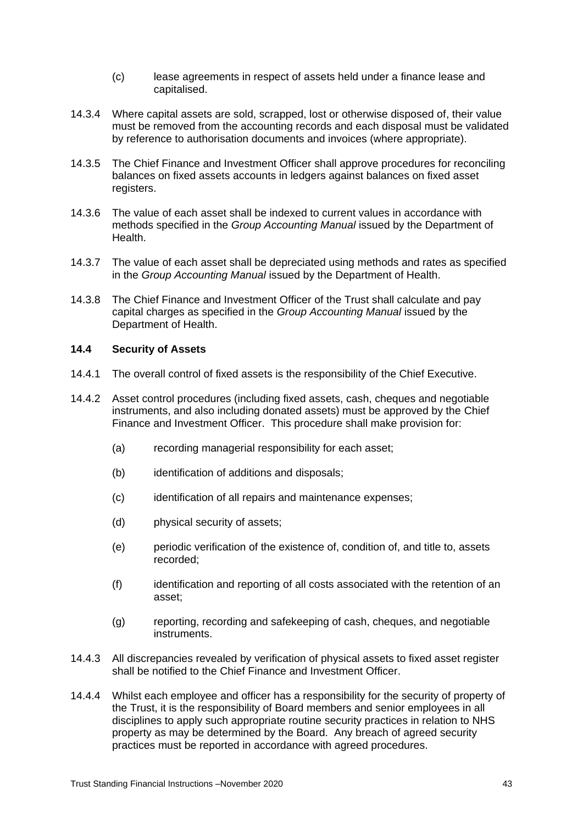- (c) lease agreements in respect of assets held under a finance lease and capitalised.
- 14.3.4 Where capital assets are sold, scrapped, lost or otherwise disposed of, their value must be removed from the accounting records and each disposal must be validated by reference to authorisation documents and invoices (where appropriate).
- 14.3.5 The Chief Finance and Investment Officer shall approve procedures for reconciling balances on fixed assets accounts in ledgers against balances on fixed asset registers.
- 14.3.6 The value of each asset shall be indexed to current values in accordance with methods specified in the *Group Accounting Manual* issued by the Department of Health.
- 14.3.7 The value of each asset shall be depreciated using methods and rates as specified in the *Group Accounting Manual* issued by the Department of Health.
- 14.3.8 The Chief Finance and Investment Officer of the Trust shall calculate and pay capital charges as specified in the *Group Accounting Manual* issued by the Department of Health.

#### <span id="page-42-0"></span>**14.4 Security of Assets**

- 14.4.1 The overall control of fixed assets is the responsibility of the Chief Executive.
- 14.4.2 Asset control procedures (including fixed assets, cash, cheques and negotiable instruments, and also including donated assets) must be approved by the Chief Finance and Investment Officer. This procedure shall make provision for:
	- (a) recording managerial responsibility for each asset;
	- (b) identification of additions and disposals;
	- (c) identification of all repairs and maintenance expenses;
	- (d) physical security of assets;
	- (e) periodic verification of the existence of, condition of, and title to, assets recorded;
	- (f) identification and reporting of all costs associated with the retention of an asset;
	- (g) reporting, recording and safekeeping of cash, cheques, and negotiable instruments.
- 14.4.3 All discrepancies revealed by verification of physical assets to fixed asset register shall be notified to the Chief Finance and Investment Officer.
- 14.4.4 Whilst each employee and officer has a responsibility for the security of property of the Trust, it is the responsibility of Board members and senior employees in all disciplines to apply such appropriate routine security practices in relation to NHS property as may be determined by the Board. Any breach of agreed security practices must be reported in accordance with agreed procedures.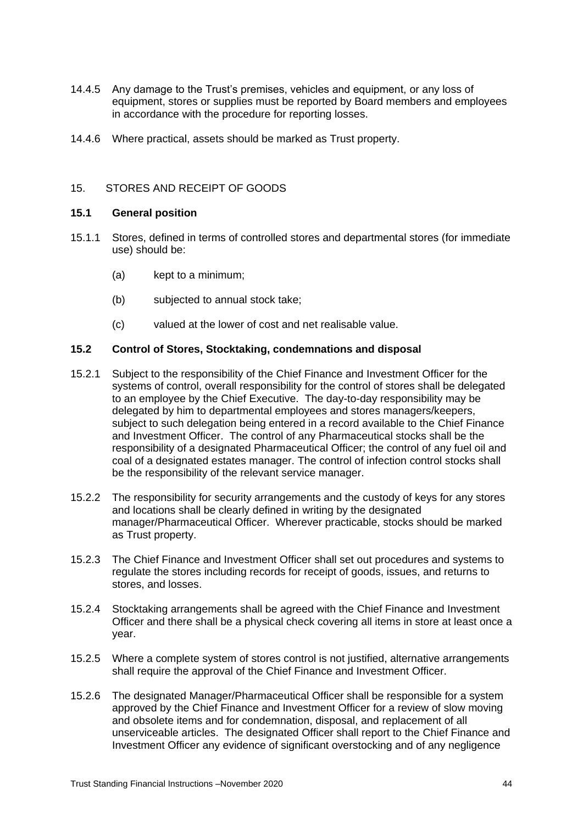- 14.4.5 Any damage to the Trust's premises, vehicles and equipment, or any loss of equipment, stores or supplies must be reported by Board members and employees in accordance with the procedure for reporting losses.
- 14.4.6 Where practical, assets should be marked as Trust property.

# 15. STORES AND RECEIPT OF GOODS

#### <span id="page-43-0"></span>**15.1 General position**

- 15.1.1 Stores, defined in terms of controlled stores and departmental stores (for immediate use) should be:
	- (a) kept to a minimum;
	- (b) subjected to annual stock take;
	- (c) valued at the lower of cost and net realisable value.

# <span id="page-43-1"></span>**15.2 Control of Stores, Stocktaking, condemnations and disposal**

- 15.2.1 Subject to the responsibility of the Chief Finance and Investment Officer for the systems of control, overall responsibility for the control of stores shall be delegated to an employee by the Chief Executive. The day-to-day responsibility may be delegated by him to departmental employees and stores managers/keepers, subject to such delegation being entered in a record available to the Chief Finance and Investment Officer. The control of any Pharmaceutical stocks shall be the responsibility of a designated Pharmaceutical Officer; the control of any fuel oil and coal of a designated estates manager. The control of infection control stocks shall be the responsibility of the relevant service manager.
- 15.2.2 The responsibility for security arrangements and the custody of keys for any stores and locations shall be clearly defined in writing by the designated manager/Pharmaceutical Officer. Wherever practicable, stocks should be marked as Trust property.
- 15.2.3 The Chief Finance and Investment Officer shall set out procedures and systems to regulate the stores including records for receipt of goods, issues, and returns to stores, and losses.
- 15.2.4 Stocktaking arrangements shall be agreed with the Chief Finance and Investment Officer and there shall be a physical check covering all items in store at least once a year.
- 15.2.5 Where a complete system of stores control is not justified, alternative arrangements shall require the approval of the Chief Finance and Investment Officer.
- 15.2.6 The designated Manager/Pharmaceutical Officer shall be responsible for a system approved by the Chief Finance and Investment Officer for a review of slow moving and obsolete items and for condemnation, disposal, and replacement of all unserviceable articles. The designated Officer shall report to the Chief Finance and Investment Officer any evidence of significant overstocking and of any negligence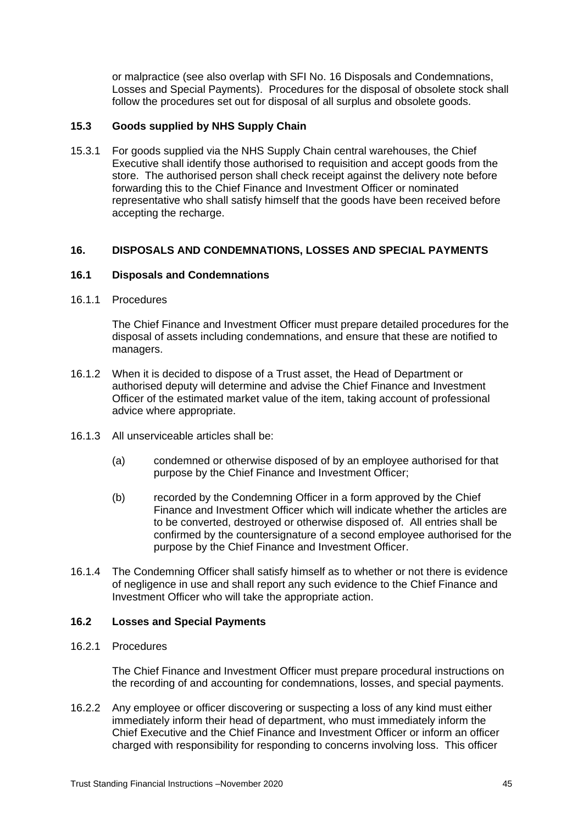or malpractice (see also overlap with SFI No. 16 Disposals and Condemnations, Losses and Special Payments). Procedures for the disposal of obsolete stock shall follow the procedures set out for disposal of all surplus and obsolete goods.

# <span id="page-44-0"></span>**15.3 Goods supplied by NHS Supply Chain**

15.3.1 For goods supplied via the NHS Supply Chain central warehouses, the Chief Executive shall identify those authorised to requisition and accept goods from the store. The authorised person shall check receipt against the delivery note before forwarding this to the Chief Finance and Investment Officer or nominated representative who shall satisfy himself that the goods have been received before accepting the recharge.

#### <span id="page-44-1"></span>**16. DISPOSALS AND CONDEMNATIONS, LOSSES AND SPECIAL PAYMENTS**

#### <span id="page-44-2"></span>**16.1 Disposals and Condemnations**

#### 16.1.1 Procedures

The Chief Finance and Investment Officer must prepare detailed procedures for the disposal of assets including condemnations, and ensure that these are notified to managers.

- 16.1.2 When it is decided to dispose of a Trust asset, the Head of Department or authorised deputy will determine and advise the Chief Finance and Investment Officer of the estimated market value of the item, taking account of professional advice where appropriate.
- 16.1.3 All unserviceable articles shall be:
	- (a) condemned or otherwise disposed of by an employee authorised for that purpose by the Chief Finance and Investment Officer;
	- (b) recorded by the Condemning Officer in a form approved by the Chief Finance and Investment Officer which will indicate whether the articles are to be converted, destroyed or otherwise disposed of. All entries shall be confirmed by the countersignature of a second employee authorised for the purpose by the Chief Finance and Investment Officer.
- 16.1.4 The Condemning Officer shall satisfy himself as to whether or not there is evidence of negligence in use and shall report any such evidence to the Chief Finance and Investment Officer who will take the appropriate action.

#### <span id="page-44-3"></span>**16.2 Losses and Special Payments**

#### 16.2.1 Procedures

The Chief Finance and Investment Officer must prepare procedural instructions on the recording of and accounting for condemnations, losses, and special payments.

16.2.2 Any employee or officer discovering or suspecting a loss of any kind must either immediately inform their head of department, who must immediately inform the Chief Executive and the Chief Finance and Investment Officer or inform an officer charged with responsibility for responding to concerns involving loss. This officer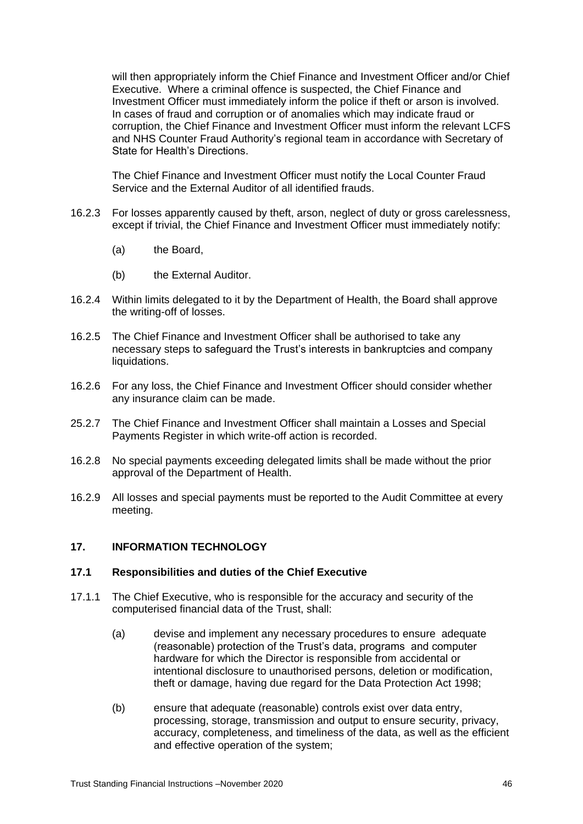will then appropriately inform the Chief Finance and Investment Officer and/or Chief Executive. Where a criminal offence is suspected, the Chief Finance and Investment Officer must immediately inform the police if theft or arson is involved. In cases of fraud and corruption or of anomalies which may indicate fraud or corruption, the Chief Finance and Investment Officer must inform the relevant LCFS and NHS Counter Fraud Authority's regional team in accordance with Secretary of State for Health's Directions.

The Chief Finance and Investment Officer must notify the Local Counter Fraud Service and the External Auditor of all identified frauds.

- 16.2.3 For losses apparently caused by theft, arson, neglect of duty or gross carelessness, except if trivial, the Chief Finance and Investment Officer must immediately notify:
	- (a) the Board,
	- (b) the External Auditor.
- 16.2.4 Within limits delegated to it by the Department of Health, the Board shall approve the writing-off of losses.
- 16.2.5 The Chief Finance and Investment Officer shall be authorised to take any necessary steps to safeguard the Trust's interests in bankruptcies and company liquidations.
- 16.2.6 For any loss, the Chief Finance and Investment Officer should consider whether any insurance claim can be made.
- 25.2.7 The Chief Finance and Investment Officer shall maintain a Losses and Special Payments Register in which write-off action is recorded.
- 16.2.8 No special payments exceeding delegated limits shall be made without the prior approval of the Department of Health.
- 16.2.9 All losses and special payments must be reported to the Audit Committee at every meeting.

#### <span id="page-45-0"></span>**17. INFORMATION TECHNOLOGY**

#### <span id="page-45-1"></span>**17.1 Responsibilities and duties of the Chief Executive**

- 17.1.1 The Chief Executive, who is responsible for the accuracy and security of the computerised financial data of the Trust, shall:
	- (a) devise and implement any necessary procedures to ensure adequate (reasonable) protection of the Trust's data, programs and computer hardware for which the Director is responsible from accidental or intentional disclosure to unauthorised persons, deletion or modification, theft or damage, having due regard for the Data Protection Act 1998;
	- (b) ensure that adequate (reasonable) controls exist over data entry, processing, storage, transmission and output to ensure security, privacy, accuracy, completeness, and timeliness of the data, as well as the efficient and effective operation of the system;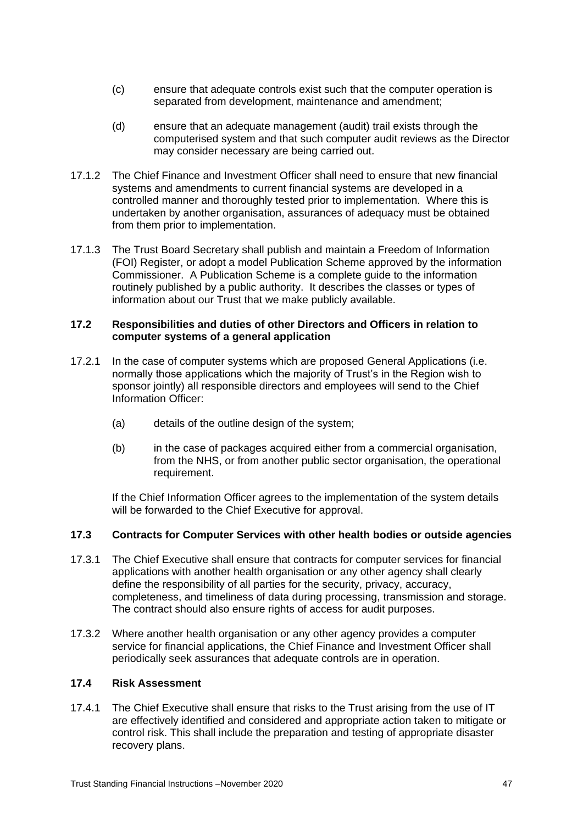- (c) ensure that adequate controls exist such that the computer operation is separated from development, maintenance and amendment;
- (d) ensure that an adequate management (audit) trail exists through the computerised system and that such computer audit reviews as the Director may consider necessary are being carried out.
- 17.1.2 The Chief Finance and Investment Officer shall need to ensure that new financial systems and amendments to current financial systems are developed in a controlled manner and thoroughly tested prior to implementation. Where this is undertaken by another organisation, assurances of adequacy must be obtained from them prior to implementation.
- 17.1.3 The Trust Board Secretary shall publish and maintain a Freedom of Information (FOI) Register, or adopt a model Publication Scheme approved by the information Commissioner. A Publication Scheme is a complete guide to the information routinely published by a public authority. It describes the classes or types of information about our Trust that we make publicly available.

#### <span id="page-46-0"></span>**17.2 Responsibilities and duties of other Directors and Officers in relation to computer systems of a general application**

- 17.2.1 In the case of computer systems which are proposed General Applications (i.e. normally those applications which the majority of Trust's in the Region wish to sponsor jointly) all responsible directors and employees will send to the Chief Information Officer:
	- (a) details of the outline design of the system;
	- (b) in the case of packages acquired either from a commercial organisation, from the NHS, or from another public sector organisation, the operational requirement.

If the Chief Information Officer agrees to the implementation of the system details will be forwarded to the Chief Executive for approval.

# <span id="page-46-1"></span>**17.3 Contracts for Computer Services with other health bodies or outside agencies**

- 17.3.1 The Chief Executive shall ensure that contracts for computer services for financial applications with another health organisation or any other agency shall clearly define the responsibility of all parties for the security, privacy, accuracy, completeness, and timeliness of data during processing, transmission and storage. The contract should also ensure rights of access for audit purposes.
- 17.3.2 Where another health organisation or any other agency provides a computer service for financial applications, the Chief Finance and Investment Officer shall periodically seek assurances that adequate controls are in operation.

# <span id="page-46-2"></span>**17.4 Risk Assessment**

17.4.1 The Chief Executive shall ensure that risks to the Trust arising from the use of IT are effectively identified and considered and appropriate action taken to mitigate or control risk. This shall include the preparation and testing of appropriate disaster recovery plans.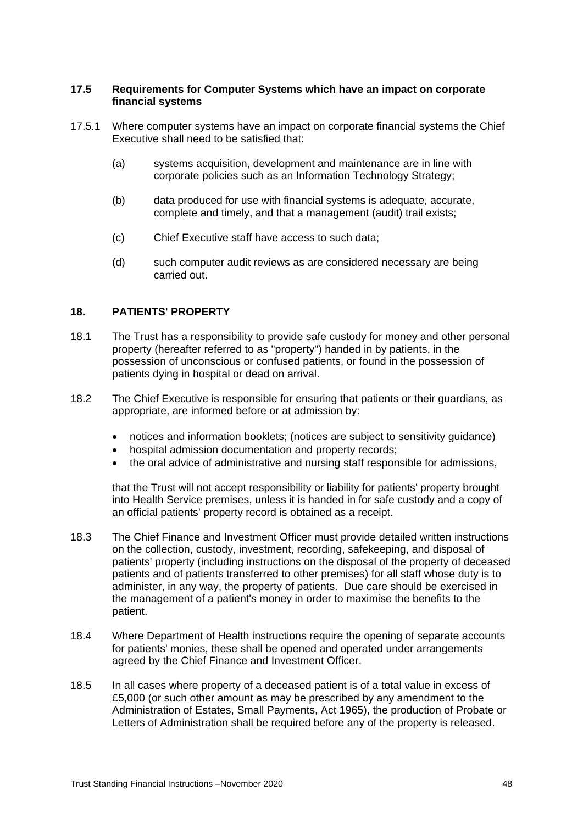#### **17.5 Requirements for Computer Systems which have an impact on corporate financial systems**

- 17.5.1 Where computer systems have an impact on corporate financial systems the Chief Executive shall need to be satisfied that:
	- (a) systems acquisition, development and maintenance are in line with corporate policies such as an Information Technology Strategy;
	- (b) data produced for use with financial systems is adequate, accurate, complete and timely, and that a management (audit) trail exists;
	- (c) Chief Executive staff have access to such data;
	- (d) such computer audit reviews as are considered necessary are being carried out.

# <span id="page-47-0"></span>**18. PATIENTS' PROPERTY**

- 18.1 The Trust has a responsibility to provide safe custody for money and other personal property (hereafter referred to as "property") handed in by patients, in the possession of unconscious or confused patients, or found in the possession of patients dying in hospital or dead on arrival.
- 18.2 The Chief Executive is responsible for ensuring that patients or their guardians, as appropriate, are informed before or at admission by:
	- notices and information booklets; (notices are subject to sensitivity guidance)
	- hospital admission documentation and property records;
	- the oral advice of administrative and nursing staff responsible for admissions,

that the Trust will not accept responsibility or liability for patients' property brought into Health Service premises, unless it is handed in for safe custody and a copy of an official patients' property record is obtained as a receipt.

- 18.3 The Chief Finance and Investment Officer must provide detailed written instructions on the collection, custody, investment, recording, safekeeping, and disposal of patients' property (including instructions on the disposal of the property of deceased patients and of patients transferred to other premises) for all staff whose duty is to administer, in any way, the property of patients. Due care should be exercised in the management of a patient's money in order to maximise the benefits to the patient.
- 18.4 Where Department of Health instructions require the opening of separate accounts for patients' monies, these shall be opened and operated under arrangements agreed by the Chief Finance and Investment Officer.
- 18.5 In all cases where property of a deceased patient is of a total value in excess of £5,000 (or such other amount as may be prescribed by any amendment to the Administration of Estates, Small Payments, Act 1965), the production of Probate or Letters of Administration shall be required before any of the property is released.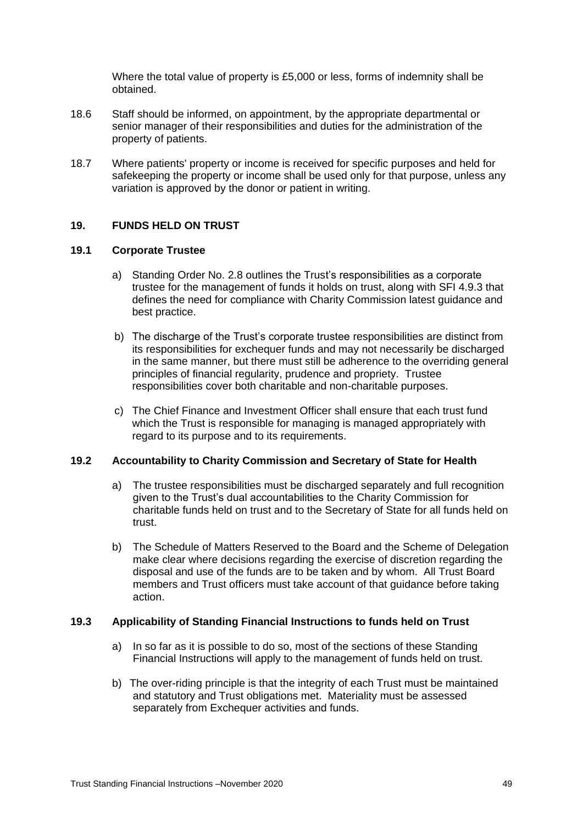Where the total value of property is £5,000 or less, forms of indemnity shall be obtained.

- 18.6 Staff should be informed, on appointment, by the appropriate departmental or senior manager of their responsibilities and duties for the administration of the property of patients.
- 18.7 Where patients' property or income is received for specific purposes and held for safekeeping the property or income shall be used only for that purpose, unless any variation is approved by the donor or patient in writing.

# <span id="page-48-0"></span>**19. FUNDS HELD ON TRUST**

#### <span id="page-48-1"></span>**19.1 Corporate Trustee**

- a) Standing Order No. 2.8 outlines the Trust's responsibilities as a corporate trustee for the management of funds it holds on trust, along with SFI 4.9.3 that defines the need for compliance with Charity Commission latest guidance and best practice.
- b) The discharge of the Trust's corporate trustee responsibilities are distinct from its responsibilities for exchequer funds and may not necessarily be discharged in the same manner, but there must still be adherence to the overriding general principles of financial regularity, prudence and propriety. Trustee responsibilities cover both charitable and non-charitable purposes.
- c) The Chief Finance and Investment Officer shall ensure that each trust fund which the Trust is responsible for managing is managed appropriately with regard to its purpose and to its requirements.

#### <span id="page-48-2"></span>**19.2 Accountability to Charity Commission and Secretary of State for Health**

- a) The trustee responsibilities must be discharged separately and full recognition given to the Trust's dual accountabilities to the Charity Commission for charitable funds held on trust and to the Secretary of State for all funds held on trust.
- b) The Schedule of Matters Reserved to the Board and the Scheme of Delegation make clear where decisions regarding the exercise of discretion regarding the disposal and use of the funds are to be taken and by whom. All Trust Board members and Trust officers must take account of that guidance before taking action.

#### <span id="page-48-3"></span>**19.3 Applicability of Standing Financial Instructions to funds held on Trust**

- a) In so far as it is possible to do so, most of the sections of these Standing Financial Instructions will apply to the management of funds held on trust.
- b) The over-riding principle is that the integrity of each Trust must be maintained and statutory and Trust obligations met. Materiality must be assessed separately from Exchequer activities and funds.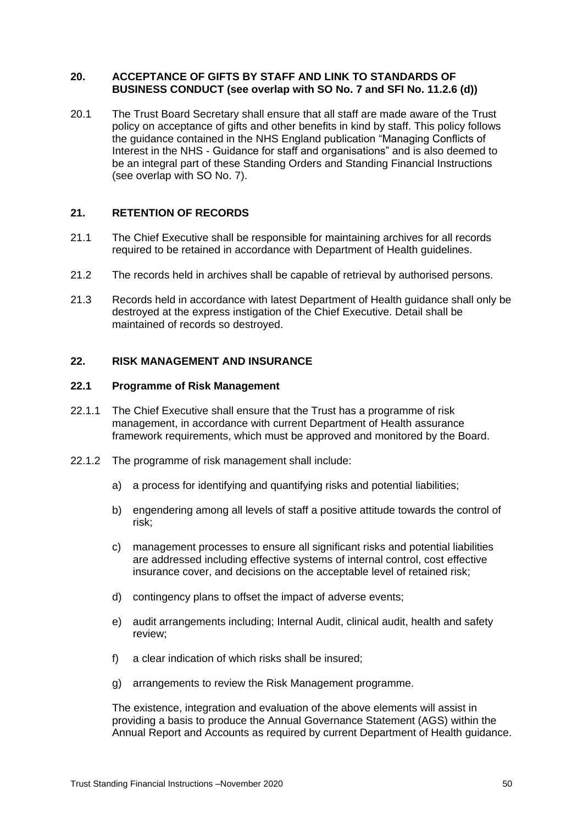#### <span id="page-49-0"></span>**20. ACCEPTANCE OF GIFTS BY STAFF AND LINK TO STANDARDS OF BUSINESS CONDUCT (see overlap with SO No. 7 and SFI No. 11.2.6 (d))**

20.1 The Trust Board Secretary shall ensure that all staff are made aware of the Trust policy on acceptance of gifts and other benefits in kind by staff. This policy follows the guidance contained in the NHS England publication "Managing Conflicts of Interest in the NHS - Guidance for staff and organisations" and is also deemed to be an integral part of these Standing Orders and Standing Financial Instructions (see overlap with SO No. 7).

# <span id="page-49-1"></span>**21. RETENTION OF RECORDS**

- 21.1 The Chief Executive shall be responsible for maintaining archives for all records required to be retained in accordance with Department of Health guidelines.
- 21.2 The records held in archives shall be capable of retrieval by authorised persons.
- 21.3 Records held in accordance with latest Department of Health guidance shall only be destroyed at the express instigation of the Chief Executive. Detail shall be maintained of records so destroyed.

# <span id="page-49-2"></span>**22. RISK MANAGEMENT AND INSURANCE**

#### <span id="page-49-3"></span>**22.1 Programme of Risk Management**

- 22.1.1 The Chief Executive shall ensure that the Trust has a programme of risk management, in accordance with current Department of Health assurance framework requirements, which must be approved and monitored by the Board.
- 22.1.2 The programme of risk management shall include:
	- a) a process for identifying and quantifying risks and potential liabilities;
	- b) engendering among all levels of staff a positive attitude towards the control of risk;
	- c) management processes to ensure all significant risks and potential liabilities are addressed including effective systems of internal control, cost effective insurance cover, and decisions on the acceptable level of retained risk;
	- d) contingency plans to offset the impact of adverse events;
	- e) audit arrangements including; Internal Audit, clinical audit, health and safety review;
	- f) a clear indication of which risks shall be insured;
	- g) arrangements to review the Risk Management programme.

The existence, integration and evaluation of the above elements will assist in providing a basis to produce the Annual Governance Statement (AGS) within the Annual Report and Accounts as required by current Department of Health guidance.